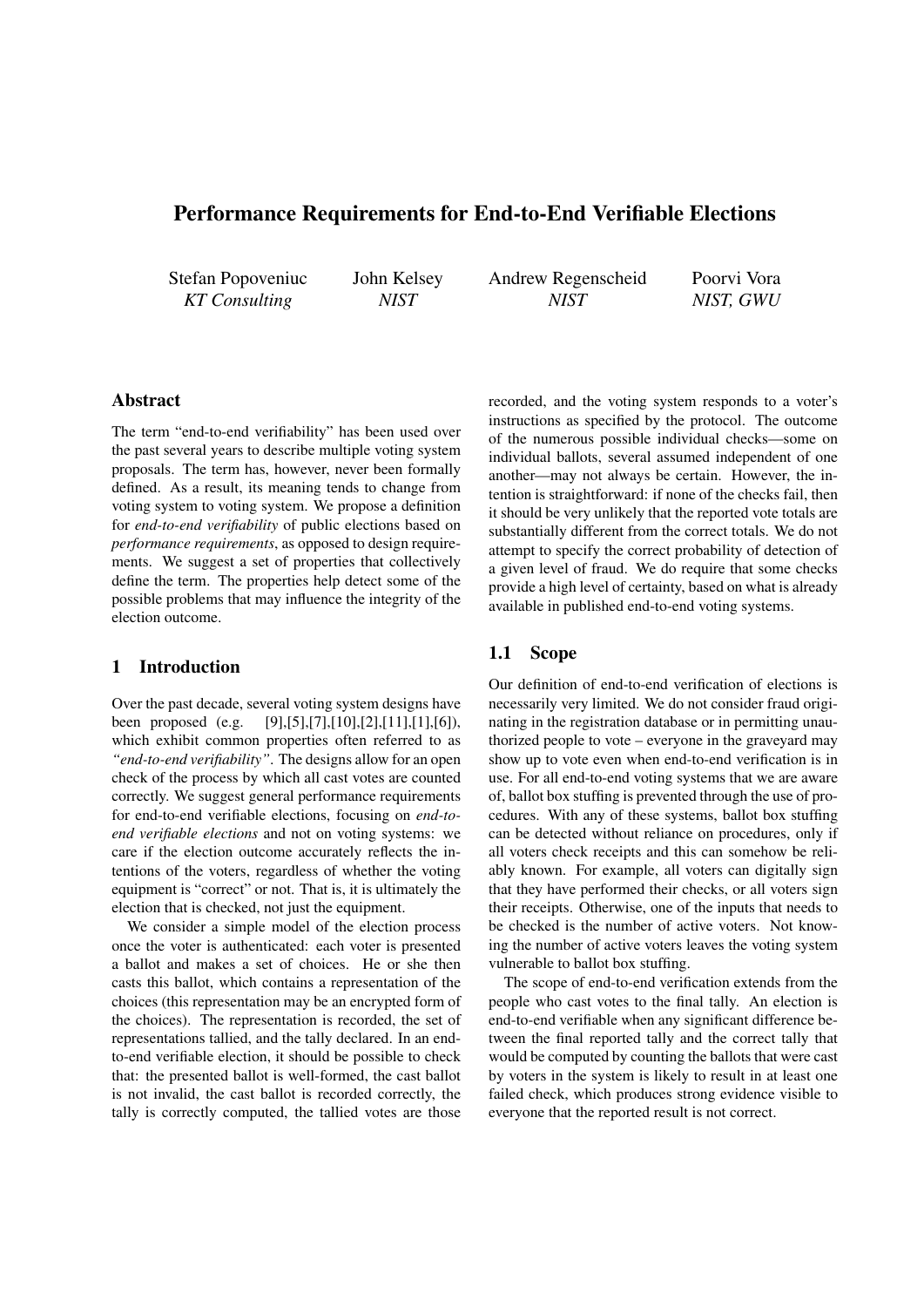# Performance Requirements for End-to-End Verifiable Elections

Stefan Popoveniuc *KT Consulting*

John Kelsey *NIST*

Andrew Regenscheid *NIST*

Poorvi Vora *NIST, GWU*

## Abstract

The term "end-to-end verifiability" has been used over the past several years to describe multiple voting system proposals. The term has, however, never been formally defined. As a result, its meaning tends to change from voting system to voting system. We propose a definition for *end-to-end verifiability* of public elections based on *performance requirements*, as opposed to design requirements. We suggest a set of properties that collectively define the term. The properties help detect some of the possible problems that may influence the integrity of the election outcome.

### 1 Introduction

Over the past decade, several voting system designs have been proposed (e.g. [9],[5],[7],[10],[2],[11],[1],[6]), which exhibit common properties often referred to as *"end-to-end verifiability"*. The designs allow for an open check of the process by which all cast votes are counted correctly. We suggest general performance requirements for end-to-end verifiable elections, focusing on *end-toend verifiable elections* and not on voting systems: we care if the election outcome accurately reflects the intentions of the voters, regardless of whether the voting equipment is "correct" or not. That is, it is ultimately the election that is checked, not just the equipment.

We consider a simple model of the election process once the voter is authenticated: each voter is presented a ballot and makes a set of choices. He or she then casts this ballot, which contains a representation of the choices (this representation may be an encrypted form of the choices). The representation is recorded, the set of representations tallied, and the tally declared. In an endto-end verifiable election, it should be possible to check that: the presented ballot is well-formed, the cast ballot is not invalid, the cast ballot is recorded correctly, the tally is correctly computed, the tallied votes are those

recorded, and the voting system responds to a voter's instructions as specified by the protocol. The outcome of the numerous possible individual checks—some on individual ballots, several assumed independent of one another—may not always be certain. However, the intention is straightforward: if none of the checks fail, then it should be very unlikely that the reported vote totals are substantially different from the correct totals. We do not attempt to specify the correct probability of detection of a given level of fraud. We do require that some checks provide a high level of certainty, based on what is already available in published end-to-end voting systems.

## 1.1 Scope

Our definition of end-to-end verification of elections is necessarily very limited. We do not consider fraud originating in the registration database or in permitting unauthorized people to vote – everyone in the graveyard may show up to vote even when end-to-end verification is in use. For all end-to-end voting systems that we are aware of, ballot box stuffing is prevented through the use of procedures. With any of these systems, ballot box stuffing can be detected without reliance on procedures, only if all voters check receipts and this can somehow be reliably known. For example, all voters can digitally sign that they have performed their checks, or all voters sign their receipts. Otherwise, one of the inputs that needs to be checked is the number of active voters. Not knowing the number of active voters leaves the voting system vulnerable to ballot box stuffing.

The scope of end-to-end verification extends from the people who cast votes to the final tally. An election is end-to-end verifiable when any significant difference between the final reported tally and the correct tally that would be computed by counting the ballots that were cast by voters in the system is likely to result in at least one failed check, which produces strong evidence visible to everyone that the reported result is not correct.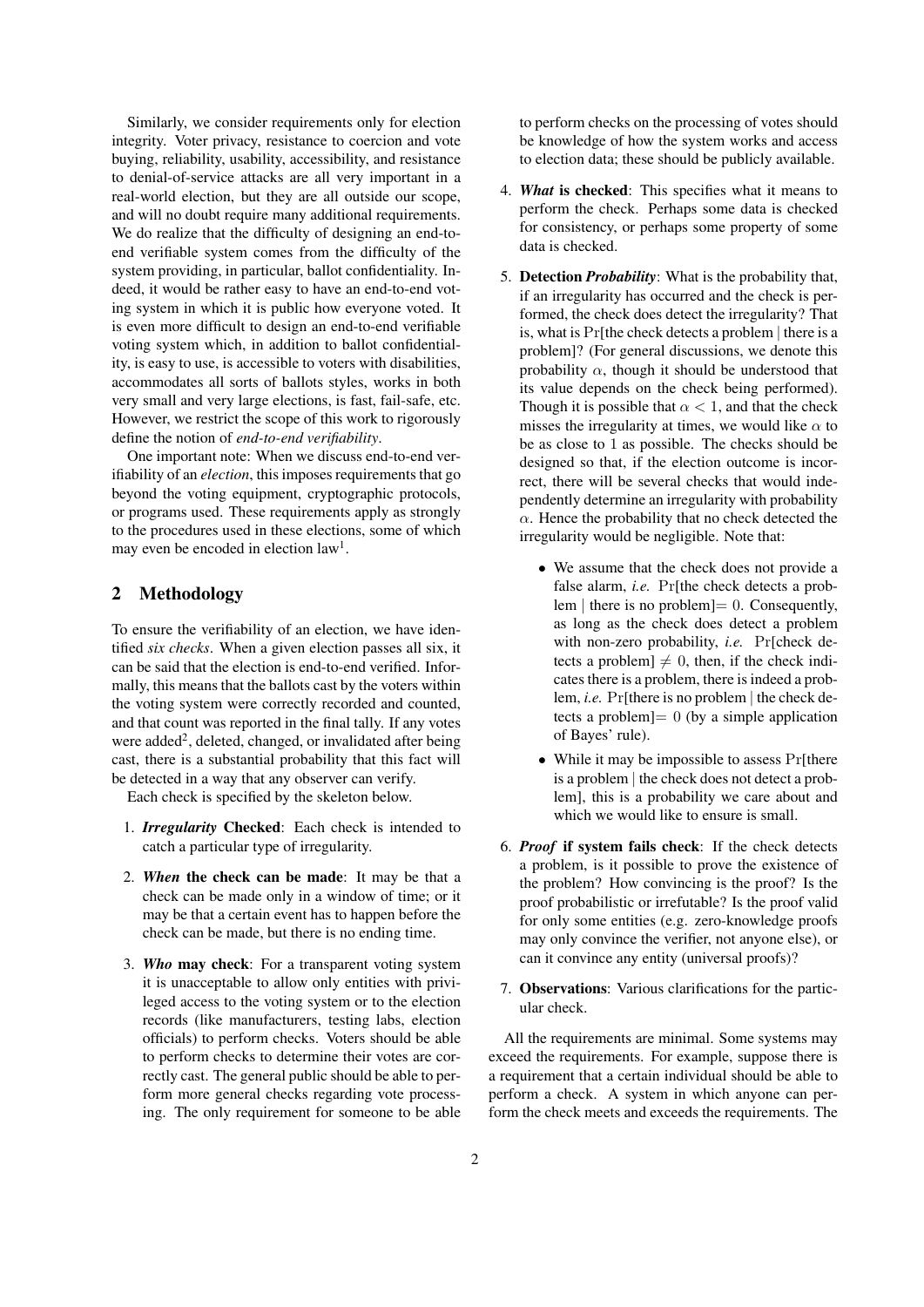Similarly, we consider requirements only for election integrity. Voter privacy, resistance to coercion and vote buying, reliability, usability, accessibility, and resistance to denial-of-service attacks are all very important in a real-world election, but they are all outside our scope, and will no doubt require many additional requirements. We do realize that the difficulty of designing an end-toend verifiable system comes from the difficulty of the system providing, in particular, ballot confidentiality. Indeed, it would be rather easy to have an end-to-end voting system in which it is public how everyone voted. It is even more difficult to design an end-to-end verifiable voting system which, in addition to ballot confidentiality, is easy to use, is accessible to voters with disabilities, accommodates all sorts of ballots styles, works in both very small and very large elections, is fast, fail-safe, etc. However, we restrict the scope of this work to rigorously define the notion of *end-to-end verifiability*.

One important note: When we discuss end-to-end verifiability of an *election*, this imposes requirements that go beyond the voting equipment, cryptographic protocols, or programs used. These requirements apply as strongly to the procedures used in these elections, some of which may even be encoded in election law<sup>1</sup>.

## 2 Methodology

To ensure the verifiability of an election, we have identified *six checks*. When a given election passes all six, it can be said that the election is end-to-end verified. Informally, this means that the ballots cast by the voters within the voting system were correctly recorded and counted, and that count was reported in the final tally. If any votes were added<sup>2</sup>, deleted, changed, or invalidated after being cast, there is a substantial probability that this fact will be detected in a way that any observer can verify.

Each check is specified by the skeleton below.

- 1. *Irregularity* Checked: Each check is intended to catch a particular type of irregularity.
- 2. *When* the check can be made: It may be that a check can be made only in a window of time; or it may be that a certain event has to happen before the check can be made, but there is no ending time.
- 3. *Who* may check: For a transparent voting system it is unacceptable to allow only entities with privileged access to the voting system or to the election records (like manufacturers, testing labs, election officials) to perform checks. Voters should be able to perform checks to determine their votes are correctly cast. The general public should be able to perform more general checks regarding vote processing. The only requirement for someone to be able

to perform checks on the processing of votes should be knowledge of how the system works and access to election data; these should be publicly available.

- 4. *What* is checked: This specifies what it means to perform the check. Perhaps some data is checked for consistency, or perhaps some property of some data is checked.
- 5. Detection *Probability*: What is the probability that, if an irregularity has occurred and the check is performed, the check does detect the irregularity? That is, what is Pr[the check detects a problem *|* there is a problem]? (For general discussions, we denote this probability  $\alpha$ , though it should be understood that its value depends on the check being performed). Though it is possible that  $\alpha < 1$ , and that the check misses the irregularity at times, we would like  $\alpha$  to be as close to 1 as possible. The checks should be designed so that, if the election outcome is incorrect, there will be several checks that would independently determine an irregularity with probability  $α$ . Hence the probability that no check detected the irregularity would be negligible. Note that:
	- *•* We assume that the check does not provide a false alarm, *i.e.* Pr[the check detects a problem *|* there is no problem  $] = 0$ . Consequently, as long as the check does detect a problem with non-zero probability, *i.e.* Pr[check detects a problem]  $\neq$  0, then, if the check indicates there is a problem, there is indeed a problem, *i.e.* Pr[there is no problem *|* the check detects a problem]= 0 (by a simple application of Bayes' rule).
	- While it may be impossible to assess Pr[there is a problem *|* the check does not detect a problem], this is a probability we care about and which we would like to ensure is small.
- 6. *Proof* if system fails check: If the check detects a problem, is it possible to prove the existence of the problem? How convincing is the proof? Is the proof probabilistic or irrefutable? Is the proof valid for only some entities (e.g. zero-knowledge proofs may only convince the verifier, not anyone else), or can it convince any entity (universal proofs)?
- 7. Observations: Various clarifications for the particular check.

All the requirements are minimal. Some systems may exceed the requirements. For example, suppose there is a requirement that a certain individual should be able to perform a check. A system in which anyone can perform the check meets and exceeds the requirements. The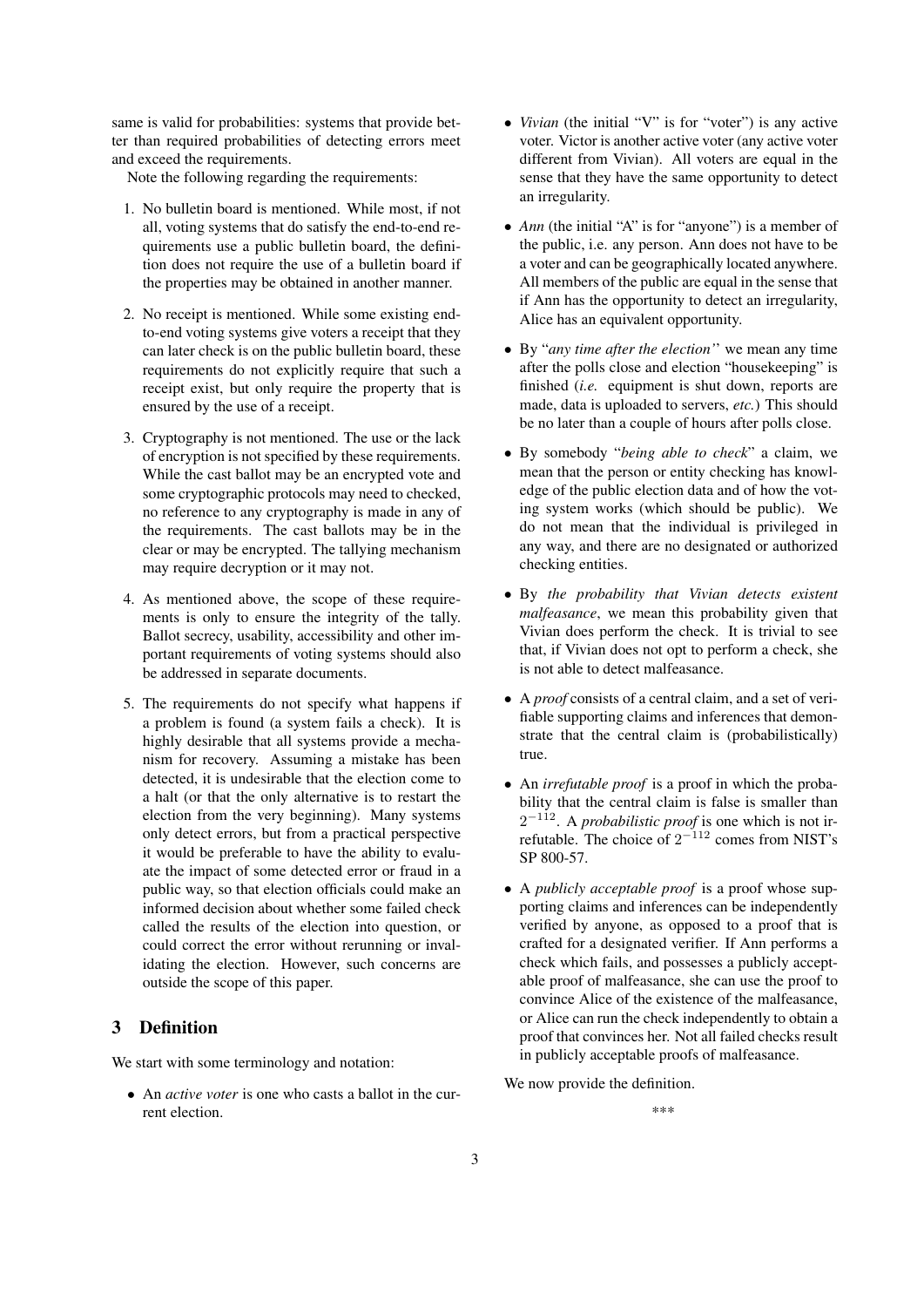same is valid for probabilities: systems that provide better than required probabilities of detecting errors meet and exceed the requirements.

Note the following regarding the requirements:

- 1. No bulletin board is mentioned. While most, if not all, voting systems that do satisfy the end-to-end requirements use a public bulletin board, the definition does not require the use of a bulletin board if the properties may be obtained in another manner.
- 2. No receipt is mentioned. While some existing endto-end voting systems give voters a receipt that they can later check is on the public bulletin board, these requirements do not explicitly require that such a receipt exist, but only require the property that is ensured by the use of a receipt.
- 3. Cryptography is not mentioned. The use or the lack of encryption is not specified by these requirements. While the cast ballot may be an encrypted vote and some cryptographic protocols may need to checked, no reference to any cryptography is made in any of the requirements. The cast ballots may be in the clear or may be encrypted. The tallying mechanism may require decryption or it may not.
- 4. As mentioned above, the scope of these requirements is only to ensure the integrity of the tally. Ballot secrecy, usability, accessibility and other important requirements of voting systems should also be addressed in separate documents.
- 5. The requirements do not specify what happens if a problem is found (a system fails a check). It is highly desirable that all systems provide a mechanism for recovery. Assuming a mistake has been detected, it is undesirable that the election come to a halt (or that the only alternative is to restart the election from the very beginning). Many systems only detect errors, but from a practical perspective it would be preferable to have the ability to evaluate the impact of some detected error or fraud in a public way, so that election officials could make an informed decision about whether some failed check called the results of the election into question, or could correct the error without rerunning or invalidating the election. However, such concerns are outside the scope of this paper.

## 3 Definition

We start with some terminology and notation:

*•* An *active voter* is one who casts a ballot in the current election.

- *• Vivian* (the initial "V" is for "voter") is any active voter. Victor is another active voter (any active voter different from Vivian). All voters are equal in the sense that they have the same opportunity to detect an irregularity.
- *• Ann* (the initial "A" is for "anyone") is a member of the public, i.e. any person. Ann does not have to be a voter and can be geographically located anywhere. All members of the public are equal in the sense that if Ann has the opportunity to detect an irregularity, Alice has an equivalent opportunity.
- *•* By "*any time after the election'*' we mean any time after the polls close and election "housekeeping" is finished (*i.e.* equipment is shut down, reports are made, data is uploaded to servers, *etc.*) This should be no later than a couple of hours after polls close.
- *•* By somebody "*being able to check*" a claim, we mean that the person or entity checking has knowledge of the public election data and of how the voting system works (which should be public). We do not mean that the individual is privileged in any way, and there are no designated or authorized checking entities.
- *•* By *the probability that Vivian detects existent malfeasance*, we mean this probability given that Vivian does perform the check. It is trivial to see that, if Vivian does not opt to perform a check, she is not able to detect malfeasance.
- *•* A *proof* consists of a central claim, and a set of verifiable supporting claims and inferences that demonstrate that the central claim is (probabilistically) true.
- *•* An *irrefutable proof* is a proof in which the probability that the central claim is false is smaller than 2<sup>−112</sup>. A *probabilistic proof* is one which is not irrefutable. The choice of 2 *<sup>−</sup>*<sup>112</sup> comes from NIST's SP 800-57.
- *•* A *publicly acceptable proof* is a proof whose supporting claims and inferences can be independently verified by anyone, as opposed to a proof that is crafted for a designated verifier. If Ann performs a check which fails, and possesses a publicly acceptable proof of malfeasance, she can use the proof to convince Alice of the existence of the malfeasance, or Alice can run the check independently to obtain a proof that convinces her. Not all failed checks result in publicly acceptable proofs of malfeasance.

We now provide the definition.

\*\*\*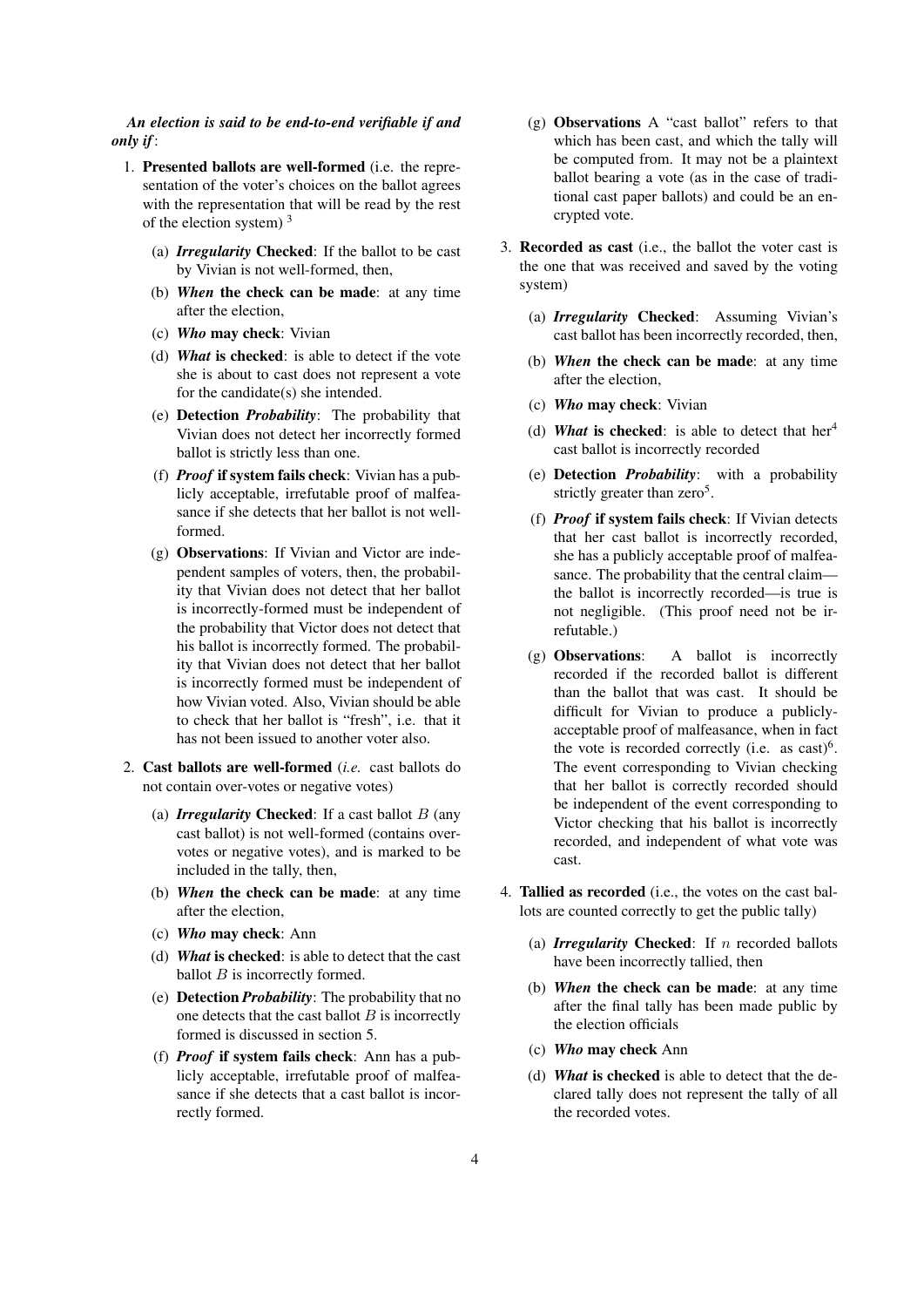*An election is said to be end-to-end verifiable if and only if*:

- 1. Presented ballots are well-formed (i.e. the representation of the voter's choices on the ballot agrees with the representation that will be read by the rest of the election system) <sup>3</sup>
	- (a) *Irregularity* Checked: If the ballot to be cast by Vivian is not well-formed, then,
	- (b) *When* the check can be made: at any time after the election,
	- (c) *Who* may check: Vivian
	- (d) *What* is checked: is able to detect if the vote she is about to cast does not represent a vote for the candidate(s) she intended.
	- (e) Detection *Probability*: The probability that Vivian does not detect her incorrectly formed ballot is strictly less than one.
	- (f) *Proof* if system fails check: Vivian has a publicly acceptable, irrefutable proof of malfeasance if she detects that her ballot is not wellformed.
	- (g) Observations: If Vivian and Victor are independent samples of voters, then, the probability that Vivian does not detect that her ballot is incorrectly-formed must be independent of the probability that Victor does not detect that his ballot is incorrectly formed. The probability that Vivian does not detect that her ballot is incorrectly formed must be independent of how Vivian voted. Also, Vivian should be able to check that her ballot is "fresh", i.e. that it has not been issued to another voter also.
- 2. Cast ballots are well-formed (*i.e.* cast ballots do not contain over-votes or negative votes)
	- (a) *Irregularity* Checked: If a cast ballot *B* (any cast ballot) is not well-formed (contains overvotes or negative votes), and is marked to be included in the tally, then,
	- (b) *When* the check can be made: at any time after the election,
	- (c) *Who* may check: Ann
	- (d) *What* is checked: is able to detect that the cast ballot *B* is incorrectly formed.
	- (e) Detection *Probability*: The probability that no one detects that the cast ballot *B* is incorrectly formed is discussed in section 5.
	- (f) *Proof* if system fails check: Ann has a publicly acceptable, irrefutable proof of malfeasance if she detects that a cast ballot is incorrectly formed.
- (g) Observations A "cast ballot" refers to that which has been cast, and which the tally will be computed from. It may not be a plaintext ballot bearing a vote (as in the case of traditional cast paper ballots) and could be an encrypted vote.
- 3. Recorded as cast (i.e., the ballot the voter cast is the one that was received and saved by the voting system)
	- (a) *Irregularity* Checked: Assuming Vivian's cast ballot has been incorrectly recorded, then,
	- (b) *When* the check can be made: at any time after the election,
	- (c) *Who* may check: Vivian
	- (d) **What** is checked: is able to detect that  $her^4$ cast ballot is incorrectly recorded
	- (e) Detection *Probability*: with a probability strictly greater than zero<sup>5</sup>.
	- (f) *Proof* if system fails check: If Vivian detects that her cast ballot is incorrectly recorded, she has a publicly acceptable proof of malfeasance. The probability that the central claim the ballot is incorrectly recorded—is true is not negligible. (This proof need not be irrefutable.)
	- (g) Observations: A ballot is incorrectly recorded if the recorded ballot is different than the ballot that was cast. It should be difficult for Vivian to produce a publiclyacceptable proof of malfeasance, when in fact the vote is recorded correctly (i.e. as  $cast)^6$ . The event corresponding to Vivian checking that her ballot is correctly recorded should be independent of the event corresponding to Victor checking that his ballot is incorrectly recorded, and independent of what vote was cast.
- 4. Tallied as recorded (i.e., the votes on the cast ballots are counted correctly to get the public tally)
	- (a) *Irregularity* Checked: If *n* recorded ballots have been incorrectly tallied, then
	- (b) *When* the check can be made: at any time after the final tally has been made public by the election officials
	- (c) *Who* may check Ann
	- (d) *What* is checked is able to detect that the declared tally does not represent the tally of all the recorded votes.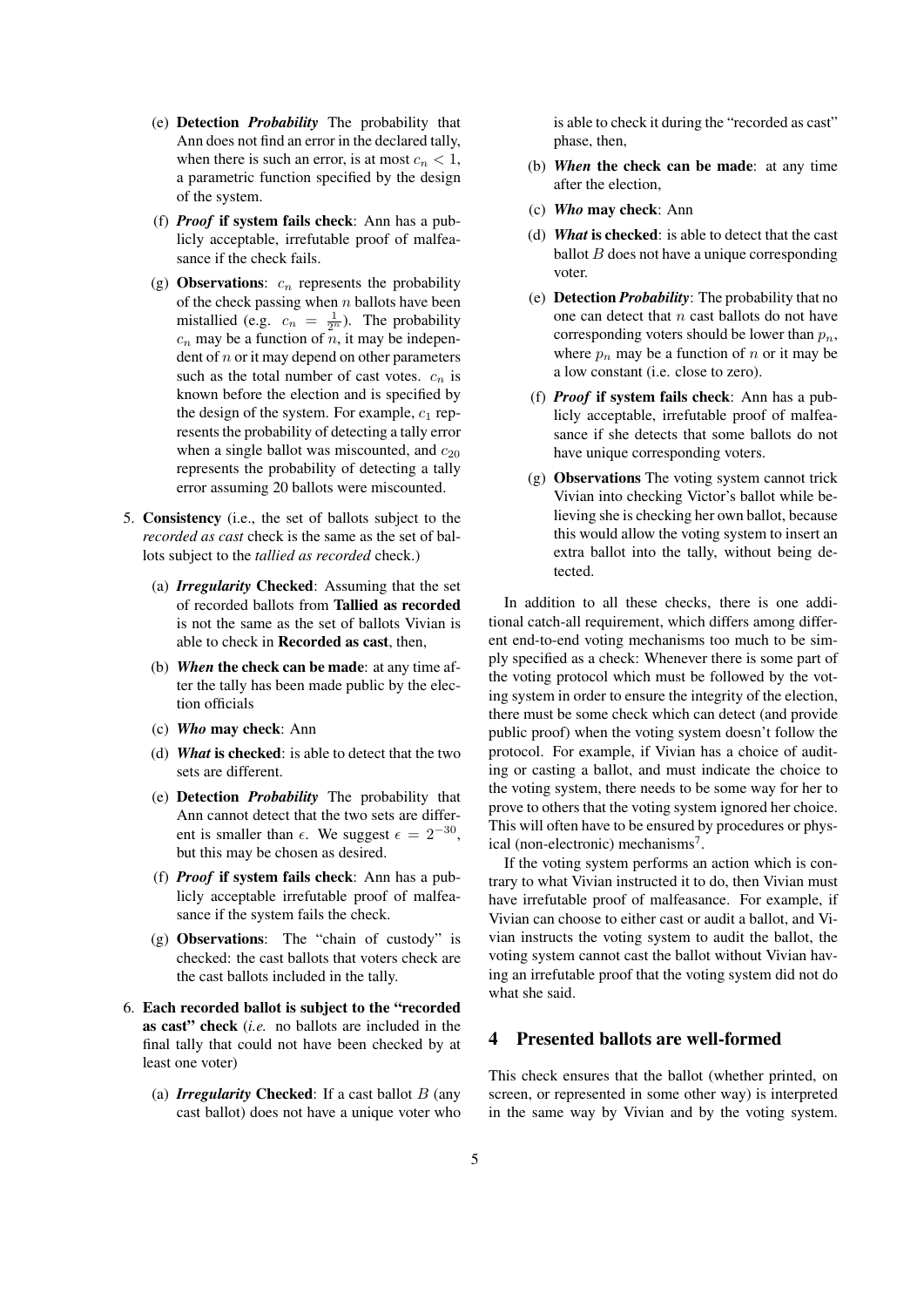- (e) Detection *Probability* The probability that Ann does not find an error in the declared tally, when there is such an error, is at most  $c_n < 1$ , a parametric function specified by the design of the system.
- (f) *Proof* if system fails check: Ann has a publicly acceptable, irrefutable proof of malfeasance if the check fails.
- (g) **Observations:**  $c_n$  represents the probability of the check passing when *n* ballots have been mistallied (e.g.  $c_n = \frac{1}{2^n}$ ). The probability  $c_n$  may be a function of *n*, it may be independent of *n* or it may depend on other parameters such as the total number of cast votes.  $c_n$  is known before the election and is specified by the design of the system. For example,  $c_1$  represents the probability of detecting a tally error when a single ballot was miscounted, and  $c_{20}$ represents the probability of detecting a tally error assuming 20 ballots were miscounted.
- 5. Consistency (i.e., the set of ballots subject to the *recorded as cast* check is the same as the set of ballots subject to the *tallied as recorded* check.)
	- (a) *Irregularity* Checked: Assuming that the set of recorded ballots from Tallied as recorded is not the same as the set of ballots Vivian is able to check in Recorded as cast, then,
	- (b) *When* the check can be made: at any time after the tally has been made public by the election officials
	- (c) *Who* may check: Ann
	- (d) *What* is checked: is able to detect that the two sets are different.
	- (e) Detection *Probability* The probability that Ann cannot detect that the two sets are different is smaller than  $\epsilon$ . We suggest  $\epsilon = 2^{-30}$ , but this may be chosen as desired.
	- (f) *Proof* if system fails check: Ann has a publicly acceptable irrefutable proof of malfeasance if the system fails the check.
	- (g) Observations: The "chain of custody" is checked: the cast ballots that voters check are the cast ballots included in the tally.
- 6. Each recorded ballot is subject to the "recorded as cast" check (*i.e.* no ballots are included in the final tally that could not have been checked by at least one voter)
	- (a) *Irregularity* Checked: If a cast ballot *B* (any cast ballot) does not have a unique voter who

is able to check it during the "recorded as cast" phase, then,

- (b) *When* the check can be made: at any time after the election,
- (c) *Who* may check: Ann
- (d) *What* is checked: is able to detect that the cast ballot  $B$  does not have a unique corresponding voter.
- (e) Detection *Probability*: The probability that no one can detect that *n* cast ballots do not have corresponding voters should be lower than *pn*, where  $p_n$  may be a function of  $n$  or it may be a low constant (i.e. close to zero).
- (f) *Proof* if system fails check: Ann has a publicly acceptable, irrefutable proof of malfeasance if she detects that some ballots do not have unique corresponding voters.
- (g) Observations The voting system cannot trick Vivian into checking Victor's ballot while believing she is checking her own ballot, because this would allow the voting system to insert an extra ballot into the tally, without being detected.

In addition to all these checks, there is one additional catch-all requirement, which differs among different end-to-end voting mechanisms too much to be simply specified as a check: Whenever there is some part of the voting protocol which must be followed by the voting system in order to ensure the integrity of the election, there must be some check which can detect (and provide public proof) when the voting system doesn't follow the protocol. For example, if Vivian has a choice of auditing or casting a ballot, and must indicate the choice to the voting system, there needs to be some way for her to prove to others that the voting system ignored her choice. This will often have to be ensured by procedures or physical (non-electronic) mechanisms<sup>7</sup>.

If the voting system performs an action which is contrary to what Vivian instructed it to do, then Vivian must have irrefutable proof of malfeasance. For example, if Vivian can choose to either cast or audit a ballot, and Vivian instructs the voting system to audit the ballot, the voting system cannot cast the ballot without Vivian having an irrefutable proof that the voting system did not do what she said.

### 4 Presented ballots are well-formed

This check ensures that the ballot (whether printed, on screen, or represented in some other way) is interpreted in the same way by Vivian and by the voting system.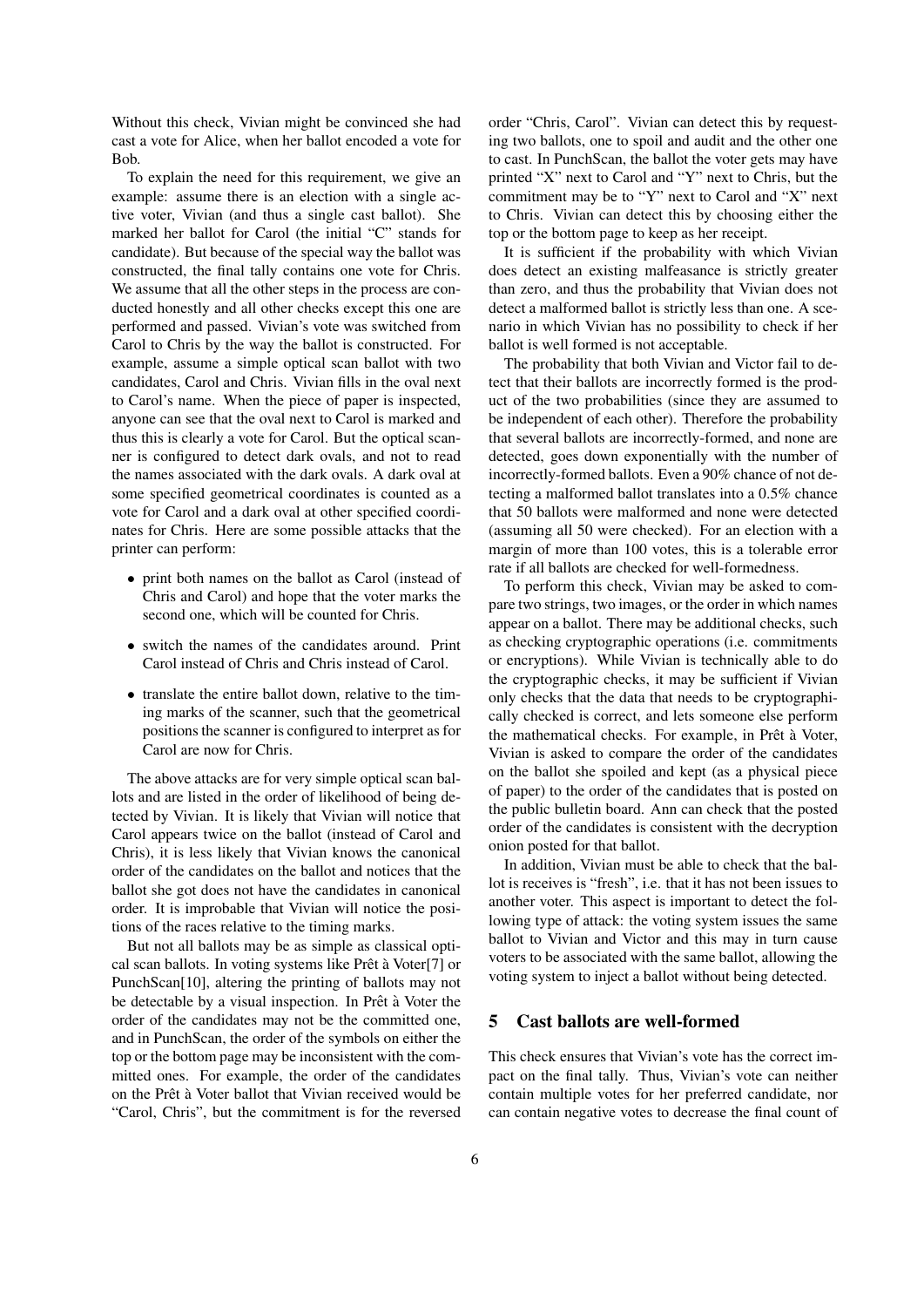Without this check, Vivian might be convinced she had cast a vote for Alice, when her ballot encoded a vote for Bob.

To explain the need for this requirement, we give an example: assume there is an election with a single active voter, Vivian (and thus a single cast ballot). She marked her ballot for Carol (the initial "C" stands for candidate). But because of the special way the ballot was constructed, the final tally contains one vote for Chris. We assume that all the other steps in the process are conducted honestly and all other checks except this one are performed and passed. Vivian's vote was switched from Carol to Chris by the way the ballot is constructed. For example, assume a simple optical scan ballot with two candidates, Carol and Chris. Vivian fills in the oval next to Carol's name. When the piece of paper is inspected, anyone can see that the oval next to Carol is marked and thus this is clearly a vote for Carol. But the optical scanner is configured to detect dark ovals, and not to read the names associated with the dark ovals. A dark oval at some specified geometrical coordinates is counted as a vote for Carol and a dark oval at other specified coordinates for Chris. Here are some possible attacks that the printer can perform:

- print both names on the ballot as Carol (instead of Chris and Carol) and hope that the voter marks the second one, which will be counted for Chris.
- switch the names of the candidates around. Print Carol instead of Chris and Chris instead of Carol.
- *•* translate the entire ballot down, relative to the timing marks of the scanner, such that the geometrical positions the scanner is configured to interpret as for Carol are now for Chris.

The above attacks are for very simple optical scan ballots and are listed in the order of likelihood of being detected by Vivian. It is likely that Vivian will notice that Carol appears twice on the ballot (instead of Carol and Chris), it is less likely that Vivian knows the canonical order of the candidates on the ballot and notices that the ballot she got does not have the candidates in canonical order. It is improbable that Vivian will notice the positions of the races relative to the timing marks.

But not all ballots may be as simple as classical optical scan ballots. In voting systems like Prêt à Voter[7] or PunchScan[10], altering the printing of ballots may not be detectable by a visual inspection. In Prêt à Voter the order of the candidates may not be the committed one, and in PunchScan, the order of the symbols on either the top or the bottom page may be inconsistent with the committed ones. For example, the order of the candidates on the Prêt à Voter ballot that Vivian received would be "Carol, Chris", but the commitment is for the reversed

order "Chris, Carol". Vivian can detect this by requesting two ballots, one to spoil and audit and the other one to cast. In PunchScan, the ballot the voter gets may have printed "X" next to Carol and "Y" next to Chris, but the commitment may be to "Y" next to Carol and "X" next to Chris. Vivian can detect this by choosing either the top or the bottom page to keep as her receipt.

It is sufficient if the probability with which Vivian does detect an existing malfeasance is strictly greater than zero, and thus the probability that Vivian does not detect a malformed ballot is strictly less than one. A scenario in which Vivian has no possibility to check if her ballot is well formed is not acceptable.

The probability that both Vivian and Victor fail to detect that their ballots are incorrectly formed is the product of the two probabilities (since they are assumed to be independent of each other). Therefore the probability that several ballots are incorrectly-formed, and none are detected, goes down exponentially with the number of incorrectly-formed ballots. Even a 90% chance of not detecting a malformed ballot translates into a 0.5% chance that 50 ballots were malformed and none were detected (assuming all 50 were checked). For an election with a margin of more than 100 votes, this is a tolerable error rate if all ballots are checked for well-formedness.

To perform this check, Vivian may be asked to compare two strings, two images, or the order in which names appear on a ballot. There may be additional checks, such as checking cryptographic operations (i.e. commitments or encryptions). While Vivian is technically able to do the cryptographic checks, it may be sufficient if Vivian only checks that the data that needs to be cryptographically checked is correct, and lets someone else perform the mathematical checks. For example, in Prêt à Voter, Vivian is asked to compare the order of the candidates on the ballot she spoiled and kept (as a physical piece of paper) to the order of the candidates that is posted on the public bulletin board. Ann can check that the posted order of the candidates is consistent with the decryption onion posted for that ballot.

In addition, Vivian must be able to check that the ballot is receives is "fresh", i.e. that it has not been issues to another voter. This aspect is important to detect the following type of attack: the voting system issues the same ballot to Vivian and Victor and this may in turn cause voters to be associated with the same ballot, allowing the voting system to inject a ballot without being detected.

## 5 Cast ballots are well-formed

This check ensures that Vivian's vote has the correct impact on the final tally. Thus, Vivian's vote can neither contain multiple votes for her preferred candidate, nor can contain negative votes to decrease the final count of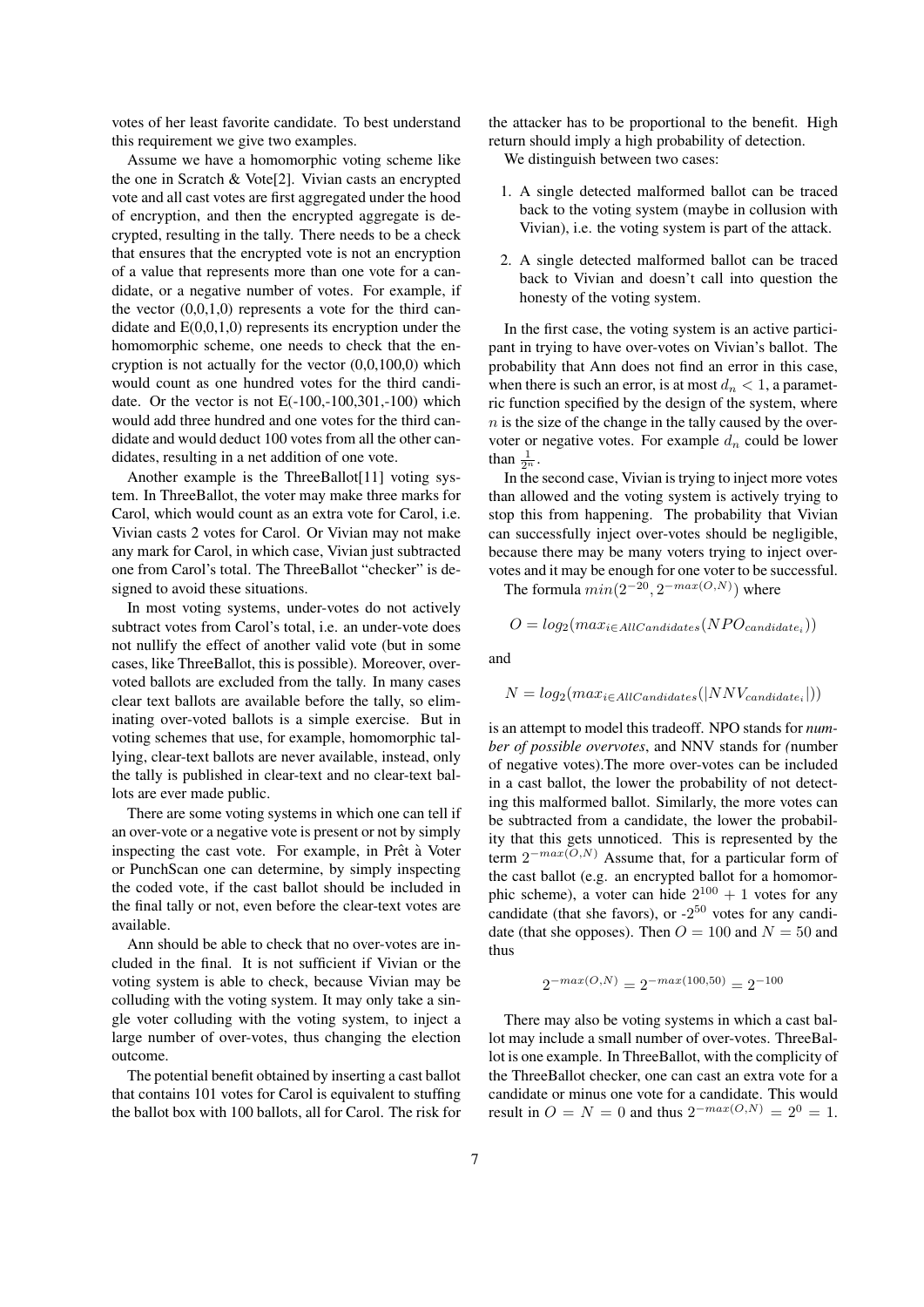votes of her least favorite candidate. To best understand this requirement we give two examples.

Assume we have a homomorphic voting scheme like the one in Scratch & Vote[2]. Vivian casts an encrypted vote and all cast votes are first aggregated under the hood of encryption, and then the encrypted aggregate is decrypted, resulting in the tally. There needs to be a check that ensures that the encrypted vote is not an encryption of a value that represents more than one vote for a candidate, or a negative number of votes. For example, if the vector  $(0,0,1,0)$  represents a vote for the third candidate and  $E(0,0,1,0)$  represents its encryption under the homomorphic scheme, one needs to check that the encryption is not actually for the vector  $(0,0,100,0)$  which would count as one hundred votes for the third candidate. Or the vector is not  $E(-100,-100,301,-100)$  which would add three hundred and one votes for the third candidate and would deduct 100 votes from all the other candidates, resulting in a net addition of one vote.

Another example is the ThreeBallot[11] voting system. In ThreeBallot, the voter may make three marks for Carol, which would count as an extra vote for Carol, i.e. Vivian casts 2 votes for Carol. Or Vivian may not make any mark for Carol, in which case, Vivian just subtracted one from Carol's total. The ThreeBallot "checker" is designed to avoid these situations.

In most voting systems, under-votes do not actively subtract votes from Carol's total, i.e. an under-vote does not nullify the effect of another valid vote (but in some cases, like ThreeBallot, this is possible). Moreover, overvoted ballots are excluded from the tally. In many cases clear text ballots are available before the tally, so eliminating over-voted ballots is a simple exercise. But in voting schemes that use, for example, homomorphic tallying, clear-text ballots are never available, instead, only the tally is published in clear-text and no clear-text ballots are ever made public.

There are some voting systems in which one can tell if an over-vote or a negative vote is present or not by simply inspecting the cast vote. For example, in Prêt à Voter or PunchScan one can determine, by simply inspecting the coded vote, if the cast ballot should be included in the final tally or not, even before the clear-text votes are available.

Ann should be able to check that no over-votes are included in the final. It is not sufficient if Vivian or the voting system is able to check, because Vivian may be colluding with the voting system. It may only take a single voter colluding with the voting system, to inject a large number of over-votes, thus changing the election outcome.

The potential benefit obtained by inserting a cast ballot that contains 101 votes for Carol is equivalent to stuffing the ballot box with 100 ballots, all for Carol. The risk for

the attacker has to be proportional to the benefit. High return should imply a high probability of detection.

We distinguish between two cases:

- 1. A single detected malformed ballot can be traced back to the voting system (maybe in collusion with Vivian), i.e. the voting system is part of the attack.
- 2. A single detected malformed ballot can be traced back to Vivian and doesn't call into question the honesty of the voting system.

In the first case, the voting system is an active participant in trying to have over-votes on Vivian's ballot. The probability that Ann does not find an error in this case, when there is such an error, is at most  $d_n < 1$ , a parametric function specified by the design of the system, where *n* is the size of the change in the tally caused by the overvoter or negative votes. For example *d<sup>n</sup>* could be lower than  $\frac{1}{2^n}$ .

In the second case, Vivian is trying to inject more votes than allowed and the voting system is actively trying to stop this from happening. The probability that Vivian can successfully inject over-votes should be negligible, because there may be many voters trying to inject overvotes and it may be enough for one voter to be successful.

The formula  $min(2^{-20}, 2^{-max(O,N)})$  where

 $O = log_2(max_{i \in AllC andiates}(NPO_{candidate_i}))$ 

and

$$
N = log_2(max_{i \in All candidates}(|NNV_{candidate_i}|))
$$

is an attempt to model this tradeoff. NPO stands for *number of possible overvotes*, and NNV stands for *(*number of negative votes).The more over-votes can be included in a cast ballot, the lower the probability of not detecting this malformed ballot. Similarly, the more votes can be subtracted from a candidate, the lower the probability that this gets unnoticed. This is represented by the term 2 *<sup>−</sup>max*(*O,N*) Assume that, for a particular form of the cast ballot (e.g. an encrypted ballot for a homomorphic scheme), a voter can hide  $2^{100} + 1$  votes for any candidate (that she favors), or  $-2^{50}$  votes for any candidate (that she opposes). Then  $Q = 100$  and  $N = 50$  and thus

$$
2^{-\max(O,N)} = 2^{-\max(100,50)} = 2^{-100}
$$

There may also be voting systems in which a cast ballot may include a small number of over-votes. ThreeBallot is one example. In ThreeBallot, with the complicity of the ThreeBallot checker, one can cast an extra vote for a candidate or minus one vote for a candidate. This would  $r$ *result in*  $O = N = 0$  and thus  $2^{-max(O,N)} = 2^0 = 1$ .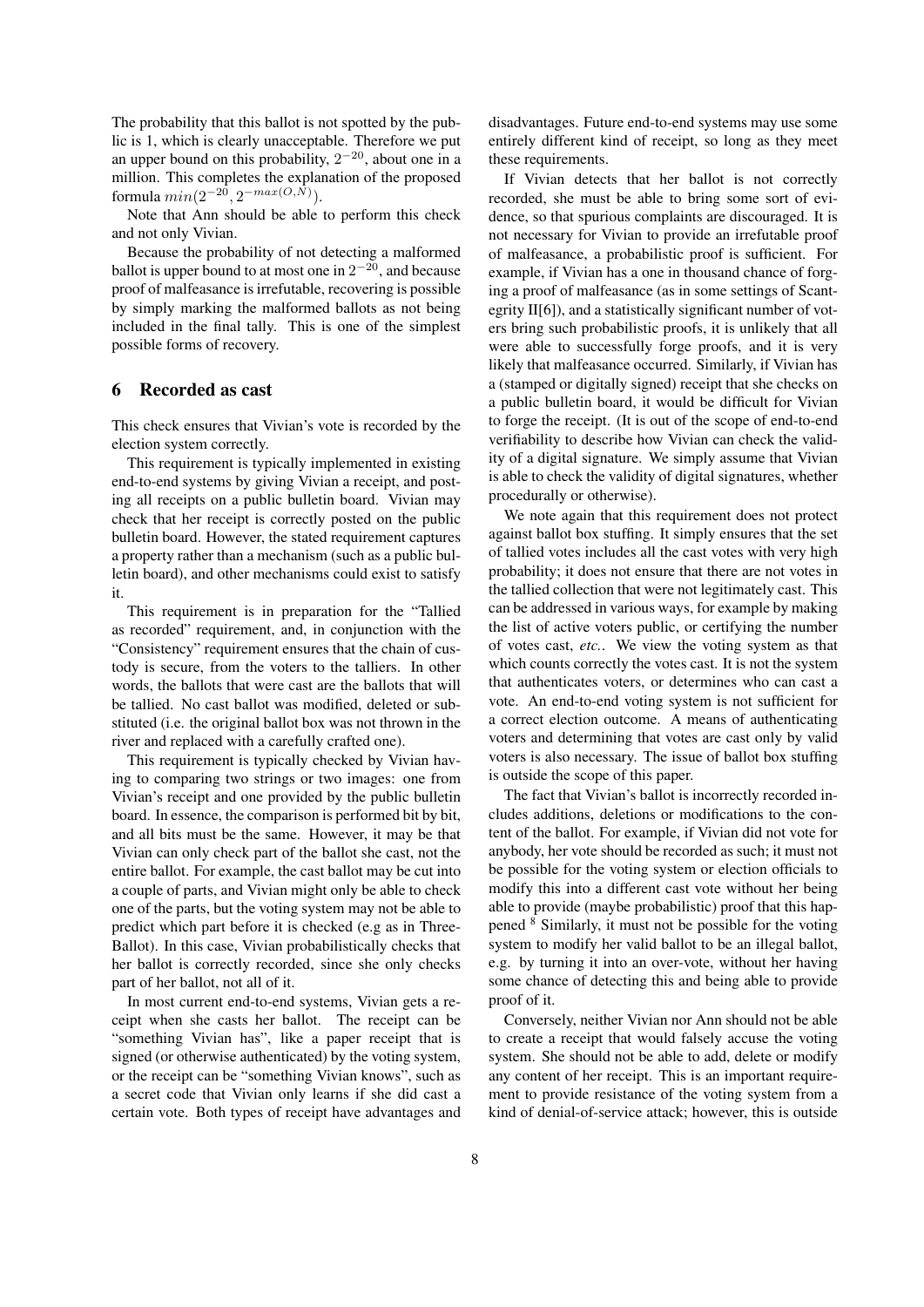The probability that this ballot is not spotted by the public is 1, which is clearly unacceptable. Therefore we put an upper bound on this probability, 2 *<sup>−</sup>*<sup>20</sup>, about one in a million. This completes the explanation of the proposed formula *min*(2*−*<sup>20</sup> *,* 2 *−max*(*O,N*) ).

Note that Ann should be able to perform this check and not only Vivian.

Because the probability of not detecting a malformed ballot is upper bound to at most one in 2 *<sup>−</sup>*<sup>20</sup>, and because proof of malfeasance is irrefutable, recovering is possible by simply marking the malformed ballots as not being included in the final tally. This is one of the simplest possible forms of recovery.

### 6 Recorded as cast

This check ensures that Vivian's vote is recorded by the election system correctly.

This requirement is typically implemented in existing end-to-end systems by giving Vivian a receipt, and posting all receipts on a public bulletin board. Vivian may check that her receipt is correctly posted on the public bulletin board. However, the stated requirement captures a property rather than a mechanism (such as a public bulletin board), and other mechanisms could exist to satisfy it.

This requirement is in preparation for the "Tallied as recorded" requirement, and, in conjunction with the "Consistency" requirement ensures that the chain of custody is secure, from the voters to the talliers. In other words, the ballots that were cast are the ballots that will be tallied. No cast ballot was modified, deleted or substituted (i.e. the original ballot box was not thrown in the river and replaced with a carefully crafted one).

This requirement is typically checked by Vivian having to comparing two strings or two images: one from Vivian's receipt and one provided by the public bulletin board. In essence, the comparison is performed bit by bit, and all bits must be the same. However, it may be that Vivian can only check part of the ballot she cast, not the entire ballot. For example, the cast ballot may be cut into a couple of parts, and Vivian might only be able to check one of the parts, but the voting system may not be able to predict which part before it is checked (e.g as in Three-Ballot). In this case, Vivian probabilistically checks that her ballot is correctly recorded, since she only checks part of her ballot, not all of it.

In most current end-to-end systems, Vivian gets a receipt when she casts her ballot. The receipt can be "something Vivian has", like a paper receipt that is signed (or otherwise authenticated) by the voting system, or the receipt can be "something Vivian knows", such as a secret code that Vivian only learns if she did cast a certain vote. Both types of receipt have advantages and disadvantages. Future end-to-end systems may use some entirely different kind of receipt, so long as they meet these requirements.

If Vivian detects that her ballot is not correctly recorded, she must be able to bring some sort of evidence, so that spurious complaints are discouraged. It is not necessary for Vivian to provide an irrefutable proof of malfeasance, a probabilistic proof is sufficient. For example, if Vivian has a one in thousand chance of forging a proof of malfeasance (as in some settings of Scantegrity II[6]), and a statistically significant number of voters bring such probabilistic proofs, it is unlikely that all were able to successfully forge proofs, and it is very likely that malfeasance occurred. Similarly, if Vivian has a (stamped or digitally signed) receipt that she checks on a public bulletin board, it would be difficult for Vivian to forge the receipt. (It is out of the scope of end-to-end verifiability to describe how Vivian can check the validity of a digital signature. We simply assume that Vivian is able to check the validity of digital signatures, whether procedurally or otherwise).

We note again that this requirement does not protect against ballot box stuffing. It simply ensures that the set of tallied votes includes all the cast votes with very high probability; it does not ensure that there are not votes in the tallied collection that were not legitimately cast. This can be addressed in various ways, for example by making the list of active voters public, or certifying the number of votes cast, *etc.*. We view the voting system as that which counts correctly the votes cast. It is not the system that authenticates voters, or determines who can cast a vote. An end-to-end voting system is not sufficient for a correct election outcome. A means of authenticating voters and determining that votes are cast only by valid voters is also necessary. The issue of ballot box stuffing is outside the scope of this paper.

The fact that Vivian's ballot is incorrectly recorded includes additions, deletions or modifications to the content of the ballot. For example, if Vivian did not vote for anybody, her vote should be recorded as such; it must not be possible for the voting system or election officials to modify this into a different cast vote without her being able to provide (maybe probabilistic) proof that this happened <sup>8</sup> Similarly, it must not be possible for the voting system to modify her valid ballot to be an illegal ballot, e.g. by turning it into an over-vote, without her having some chance of detecting this and being able to provide proof of it.

Conversely, neither Vivian nor Ann should not be able to create a receipt that would falsely accuse the voting system. She should not be able to add, delete or modify any content of her receipt. This is an important requirement to provide resistance of the voting system from a kind of denial-of-service attack; however, this is outside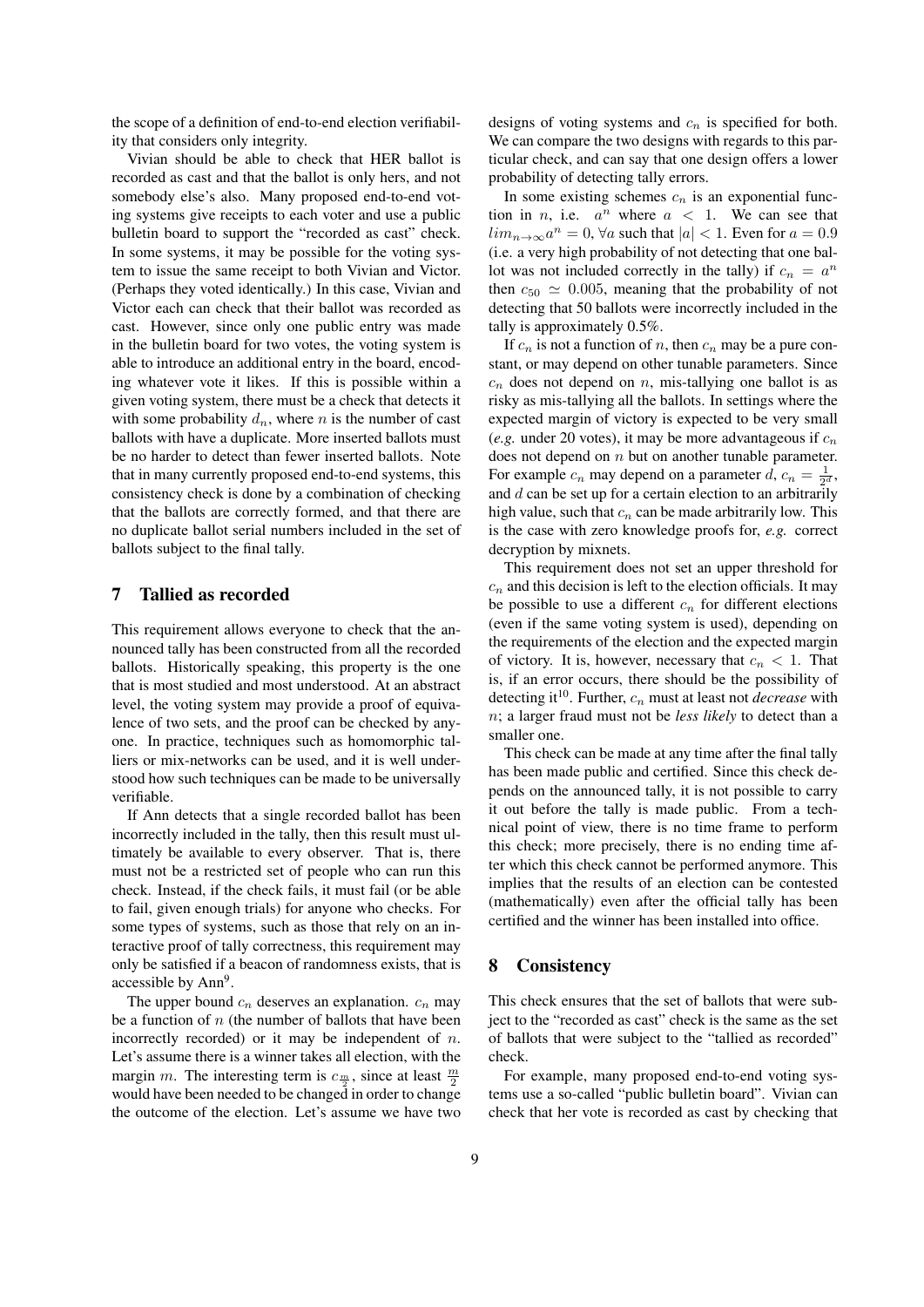the scope of a definition of end-to-end election verifiability that considers only integrity.

Vivian should be able to check that HER ballot is recorded as cast and that the ballot is only hers, and not somebody else's also. Many proposed end-to-end voting systems give receipts to each voter and use a public bulletin board to support the "recorded as cast" check. In some systems, it may be possible for the voting system to issue the same receipt to both Vivian and Victor. (Perhaps they voted identically.) In this case, Vivian and Victor each can check that their ballot was recorded as cast. However, since only one public entry was made in the bulletin board for two votes, the voting system is able to introduce an additional entry in the board, encoding whatever vote it likes. If this is possible within a given voting system, there must be a check that detects it with some probability  $d_n$ , where *n* is the number of cast ballots with have a duplicate. More inserted ballots must be no harder to detect than fewer inserted ballots. Note that in many currently proposed end-to-end systems, this consistency check is done by a combination of checking that the ballots are correctly formed, and that there are no duplicate ballot serial numbers included in the set of ballots subject to the final tally.

### 7 Tallied as recorded

This requirement allows everyone to check that the announced tally has been constructed from all the recorded ballots. Historically speaking, this property is the one that is most studied and most understood. At an abstract level, the voting system may provide a proof of equivalence of two sets, and the proof can be checked by anyone. In practice, techniques such as homomorphic talliers or mix-networks can be used, and it is well understood how such techniques can be made to be universally verifiable.

If Ann detects that a single recorded ballot has been incorrectly included in the tally, then this result must ultimately be available to every observer. That is, there must not be a restricted set of people who can run this check. Instead, if the check fails, it must fail (or be able to fail, given enough trials) for anyone who checks. For some types of systems, such as those that rely on an interactive proof of tally correctness, this requirement may only be satisfied if a beacon of randomness exists, that is accessible by Ann<sup>9</sup>.

The upper bound *c<sup>n</sup>* deserves an explanation. *c<sup>n</sup>* may be a function of *n* (the number of ballots that have been incorrectly recorded) or it may be independent of *n*. Let's assume there is a winner takes all election, with the margin *m*. The interesting term is  $c_{\frac{m}{2}}$ , since at least  $\frac{m}{2}$ would have been needed to be changed in order to change the outcome of the election. Let's assume we have two designs of voting systems and *c<sup>n</sup>* is specified for both. We can compare the two designs with regards to this particular check, and can say that one design offers a lower probability of detecting tally errors.

In some existing schemes  $c_n$  is an exponential function in *n*, i.e.  $a^n$  where  $a < 1$ . We can see that  $\lim_{n \to \infty} a^n = 0$ ,  $\forall a$  such that  $|a| < 1$ . Even for  $a = 0.9$ (i.e. a very high probability of not detecting that one ballot was not included correctly in the tally) if  $c_n = a^n$ then  $c_{50} \simeq 0.005$ , meaning that the probability of not detecting that 50 ballots were incorrectly included in the tally is approximately 0.5%.

If  $c_n$  is not a function of *n*, then  $c_n$  may be a pure constant, or may depend on other tunable parameters. Since  $c_n$  does not depend on  $n$ , mis-tallying one ballot is as risky as mis-tallying all the ballots. In settings where the expected margin of victory is expected to be very small (*e.g.* under 20 votes), it may be more advantageous if  $c_n$ does not depend on *n* but on another tunable parameter. For example  $c_n$  may depend on a parameter  $d$ ,  $c_n = \frac{1}{2^d}$ , and *d* can be set up for a certain election to an arbitrarily high value, such that  $c_n$  can be made arbitrarily low. This is the case with zero knowledge proofs for, *e.g.* correct decryption by mixnets.

This requirement does not set an upper threshold for  $c_n$  and this decision is left to the election officials. It may be possible to use a different  $c_n$  for different elections (even if the same voting system is used), depending on the requirements of the election and the expected margin of victory. It is, however, necessary that  $c_n < 1$ . That is, if an error occurs, there should be the possibility of detecting it<sup>10</sup>. Further, *c<sup>n</sup>* must at least not *decrease* with *n*; a larger fraud must not be *less likely* to detect than a smaller one.

This check can be made at any time after the final tally has been made public and certified. Since this check depends on the announced tally, it is not possible to carry it out before the tally is made public. From a technical point of view, there is no time frame to perform this check; more precisely, there is no ending time after which this check cannot be performed anymore. This implies that the results of an election can be contested (mathematically) even after the official tally has been certified and the winner has been installed into office.

#### 8 Consistency

This check ensures that the set of ballots that were subject to the "recorded as cast" check is the same as the set of ballots that were subject to the "tallied as recorded" check.

For example, many proposed end-to-end voting systems use a so-called "public bulletin board". Vivian can check that her vote is recorded as cast by checking that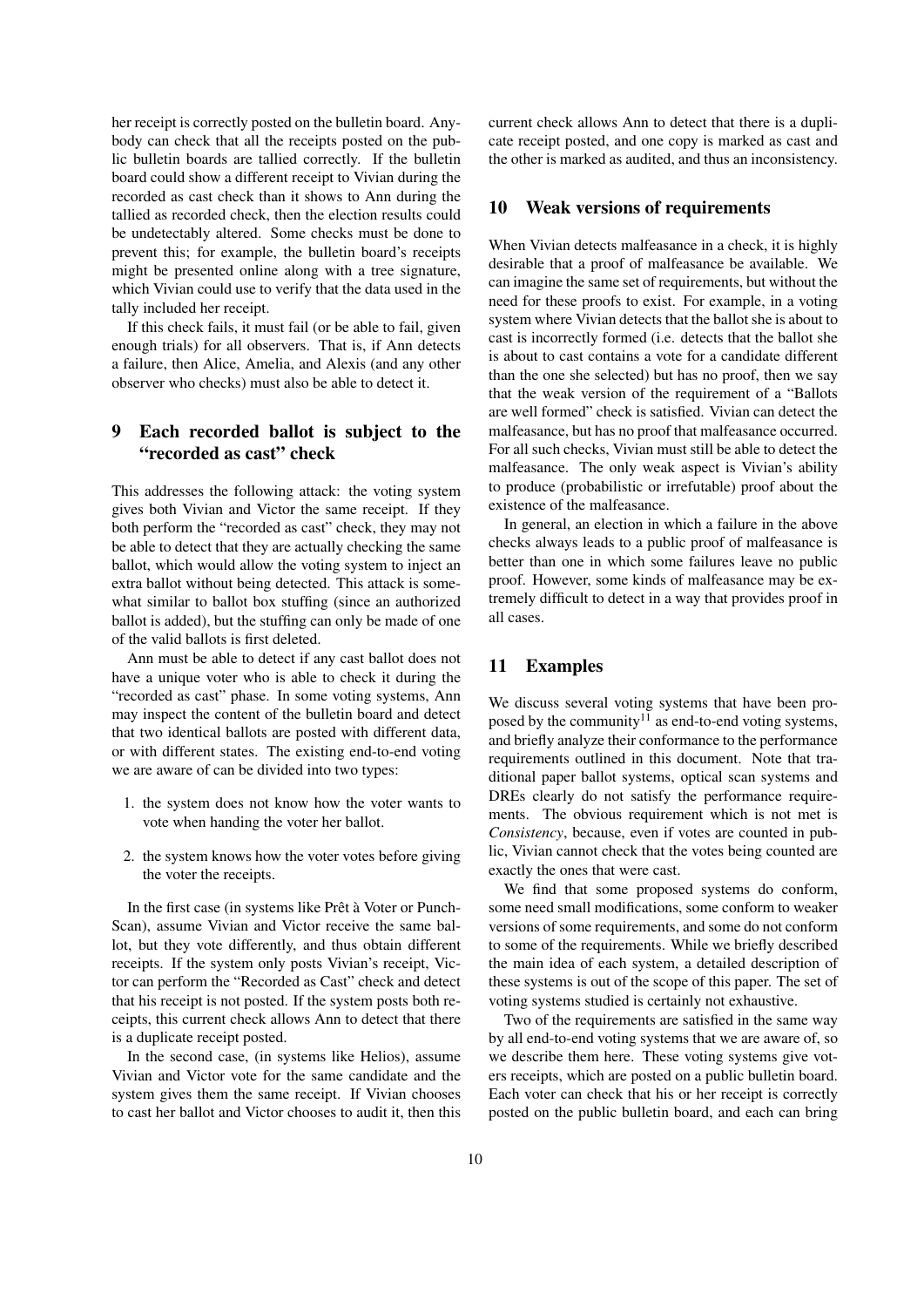her receipt is correctly posted on the bulletin board. Anybody can check that all the receipts posted on the public bulletin boards are tallied correctly. If the bulletin board could show a different receipt to Vivian during the recorded as cast check than it shows to Ann during the tallied as recorded check, then the election results could be undetectably altered. Some checks must be done to prevent this; for example, the bulletin board's receipts might be presented online along with a tree signature, which Vivian could use to verify that the data used in the tally included her receipt.

If this check fails, it must fail (or be able to fail, given enough trials) for all observers. That is, if Ann detects a failure, then Alice, Amelia, and Alexis (and any other observer who checks) must also be able to detect it.

## 9 Each recorded ballot is subject to the "recorded as cast" check

This addresses the following attack: the voting system gives both Vivian and Victor the same receipt. If they both perform the "recorded as cast" check, they may not be able to detect that they are actually checking the same ballot, which would allow the voting system to inject an extra ballot without being detected. This attack is somewhat similar to ballot box stuffing (since an authorized ballot is added), but the stuffing can only be made of one of the valid ballots is first deleted.

Ann must be able to detect if any cast ballot does not have a unique voter who is able to check it during the "recorded as cast" phase. In some voting systems, Ann may inspect the content of the bulletin board and detect that two identical ballots are posted with different data, or with different states. The existing end-to-end voting we are aware of can be divided into two types:

- 1. the system does not know how the voter wants to vote when handing the voter her ballot.
- 2. the system knows how the voter votes before giving the voter the receipts.

In the first case (in systems like Prêt à Voter or Punch-Scan), assume Vivian and Victor receive the same ballot, but they vote differently, and thus obtain different receipts. If the system only posts Vivian's receipt, Victor can perform the "Recorded as Cast" check and detect that his receipt is not posted. If the system posts both receipts, this current check allows Ann to detect that there is a duplicate receipt posted.

In the second case, (in systems like Helios), assume Vivian and Victor vote for the same candidate and the system gives them the same receipt. If Vivian chooses to cast her ballot and Victor chooses to audit it, then this current check allows Ann to detect that there is a duplicate receipt posted, and one copy is marked as cast and the other is marked as audited, and thus an inconsistency.

#### 10 Weak versions of requirements

When Vivian detects malfeasance in a check, it is highly desirable that a proof of malfeasance be available. We can imagine the same set of requirements, but without the need for these proofs to exist. For example, in a voting system where Vivian detects that the ballot she is about to cast is incorrectly formed (i.e. detects that the ballot she is about to cast contains a vote for a candidate different than the one she selected) but has no proof, then we say that the weak version of the requirement of a "Ballots are well formed" check is satisfied. Vivian can detect the malfeasance, but has no proof that malfeasance occurred. For all such checks, Vivian must still be able to detect the malfeasance. The only weak aspect is Vivian's ability to produce (probabilistic or irrefutable) proof about the existence of the malfeasance.

In general, an election in which a failure in the above checks always leads to a public proof of malfeasance is better than one in which some failures leave no public proof. However, some kinds of malfeasance may be extremely difficult to detect in a way that provides proof in all cases.

## 11 Examples

We discuss several voting systems that have been proposed by the community $11$  as end-to-end voting systems, and briefly analyze their conformance to the performance requirements outlined in this document. Note that traditional paper ballot systems, optical scan systems and DREs clearly do not satisfy the performance requirements. The obvious requirement which is not met is *Consistency*, because, even if votes are counted in public, Vivian cannot check that the votes being counted are exactly the ones that were cast.

We find that some proposed systems do conform, some need small modifications, some conform to weaker versions of some requirements, and some do not conform to some of the requirements. While we briefly described the main idea of each system, a detailed description of these systems is out of the scope of this paper. The set of voting systems studied is certainly not exhaustive.

Two of the requirements are satisfied in the same way by all end-to-end voting systems that we are aware of, so we describe them here. These voting systems give voters receipts, which are posted on a public bulletin board. Each voter can check that his or her receipt is correctly posted on the public bulletin board, and each can bring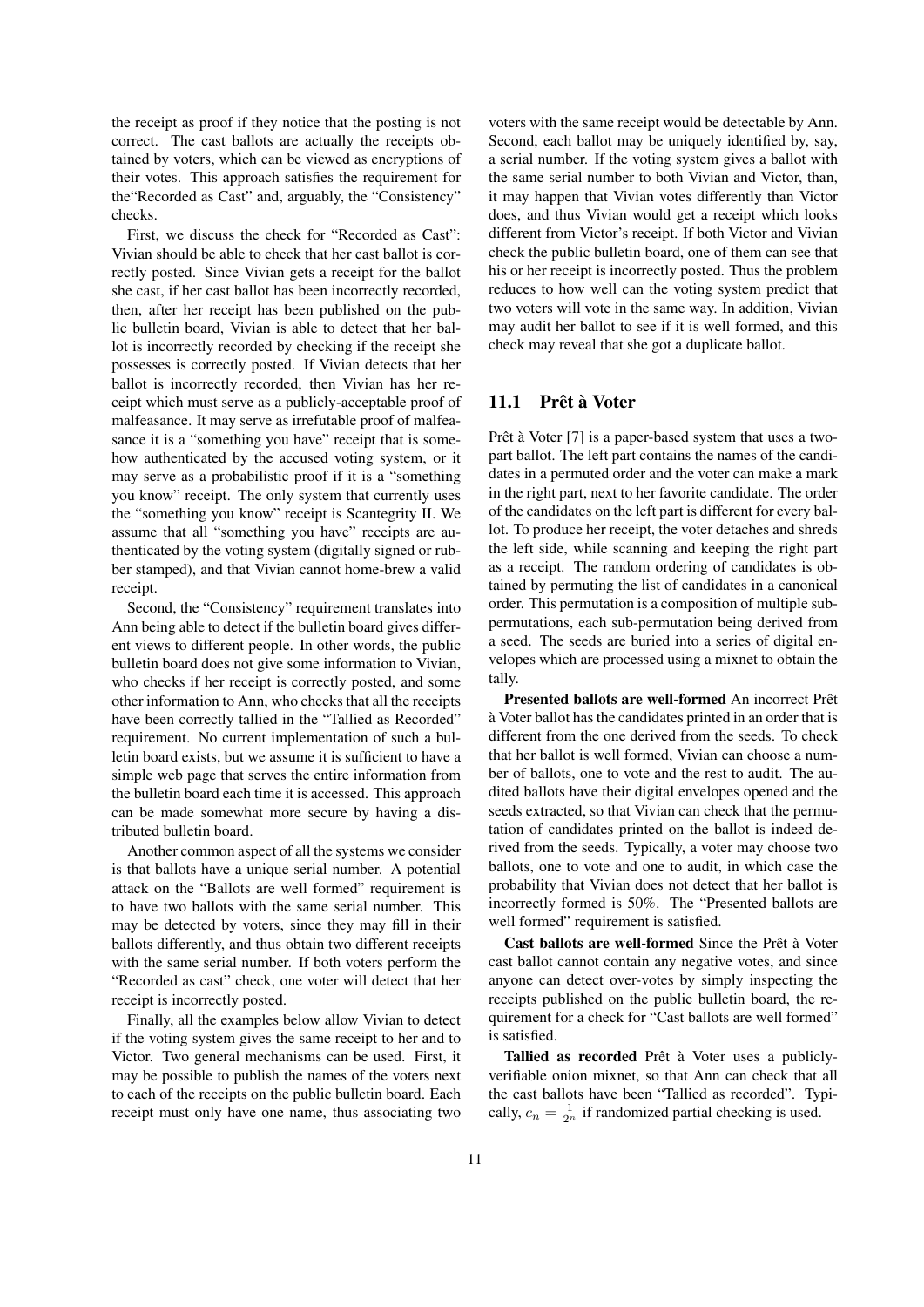the receipt as proof if they notice that the posting is not correct. The cast ballots are actually the receipts obtained by voters, which can be viewed as encryptions of their votes. This approach satisfies the requirement for the"Recorded as Cast" and, arguably, the "Consistency" checks.

First, we discuss the check for "Recorded as Cast": Vivian should be able to check that her cast ballot is correctly posted. Since Vivian gets a receipt for the ballot she cast, if her cast ballot has been incorrectly recorded, then, after her receipt has been published on the public bulletin board, Vivian is able to detect that her ballot is incorrectly recorded by checking if the receipt she possesses is correctly posted. If Vivian detects that her ballot is incorrectly recorded, then Vivian has her receipt which must serve as a publicly-acceptable proof of malfeasance. It may serve as irrefutable proof of malfeasance it is a "something you have" receipt that is somehow authenticated by the accused voting system, or it may serve as a probabilistic proof if it is a "something you know" receipt. The only system that currently uses the "something you know" receipt is Scantegrity II. We assume that all "something you have" receipts are authenticated by the voting system (digitally signed or rubber stamped), and that Vivian cannot home-brew a valid receipt.

Second, the "Consistency" requirement translates into Ann being able to detect if the bulletin board gives different views to different people. In other words, the public bulletin board does not give some information to Vivian, who checks if her receipt is correctly posted, and some other information to Ann, who checks that all the receipts have been correctly tallied in the "Tallied as Recorded" requirement. No current implementation of such a bulletin board exists, but we assume it is sufficient to have a simple web page that serves the entire information from the bulletin board each time it is accessed. This approach can be made somewhat more secure by having a distributed bulletin board.

Another common aspect of all the systems we consider is that ballots have a unique serial number. A potential attack on the "Ballots are well formed" requirement is to have two ballots with the same serial number. This may be detected by voters, since they may fill in their ballots differently, and thus obtain two different receipts with the same serial number. If both voters perform the "Recorded as cast" check, one voter will detect that her receipt is incorrectly posted.

Finally, all the examples below allow Vivian to detect if the voting system gives the same receipt to her and to Victor. Two general mechanisms can be used. First, it may be possible to publish the names of the voters next to each of the receipts on the public bulletin board. Each receipt must only have one name, thus associating two

voters with the same receipt would be detectable by Ann. Second, each ballot may be uniquely identified by, say, a serial number. If the voting system gives a ballot with the same serial number to both Vivian and Victor, than, it may happen that Vivian votes differently than Victor does, and thus Vivian would get a receipt which looks different from Victor's receipt. If both Victor and Vivian check the public bulletin board, one of them can see that his or her receipt is incorrectly posted. Thus the problem reduces to how well can the voting system predict that two voters will vote in the same way. In addition, Vivian may audit her ballot to see if it is well formed, and this check may reveal that she got a duplicate ballot.

### 11.1 Prêt à Voter

Prêt à Voter [7] is a paper-based system that uses a twopart ballot. The left part contains the names of the candidates in a permuted order and the voter can make a mark in the right part, next to her favorite candidate. The order of the candidates on the left part is different for every ballot. To produce her receipt, the voter detaches and shreds the left side, while scanning and keeping the right part as a receipt. The random ordering of candidates is obtained by permuting the list of candidates in a canonical order. This permutation is a composition of multiple subpermutations, each sub-permutation being derived from a seed. The seeds are buried into a series of digital envelopes which are processed using a mixnet to obtain the tally.

Presented ballots are well-formed An incorrect Prêt a Voter ballot has the candidates printed in an order that is ` different from the one derived from the seeds. To check that her ballot is well formed, Vivian can choose a number of ballots, one to vote and the rest to audit. The audited ballots have their digital envelopes opened and the seeds extracted, so that Vivian can check that the permutation of candidates printed on the ballot is indeed derived from the seeds. Typically, a voter may choose two ballots, one to vote and one to audit, in which case the probability that Vivian does not detect that her ballot is incorrectly formed is 50%. The "Presented ballots are well formed" requirement is satisfied.

Cast ballots are well-formed Since the Prêt à Voter cast ballot cannot contain any negative votes, and since anyone can detect over-votes by simply inspecting the receipts published on the public bulletin board, the requirement for a check for "Cast ballots are well formed" is satisfied.

Tallied as recorded Prêt à Voter uses a publiclyverifiable onion mixnet, so that Ann can check that all the cast ballots have been "Tallied as recorded". Typically,  $c_n = \frac{1}{2^n}$  if randomized partial checking is used.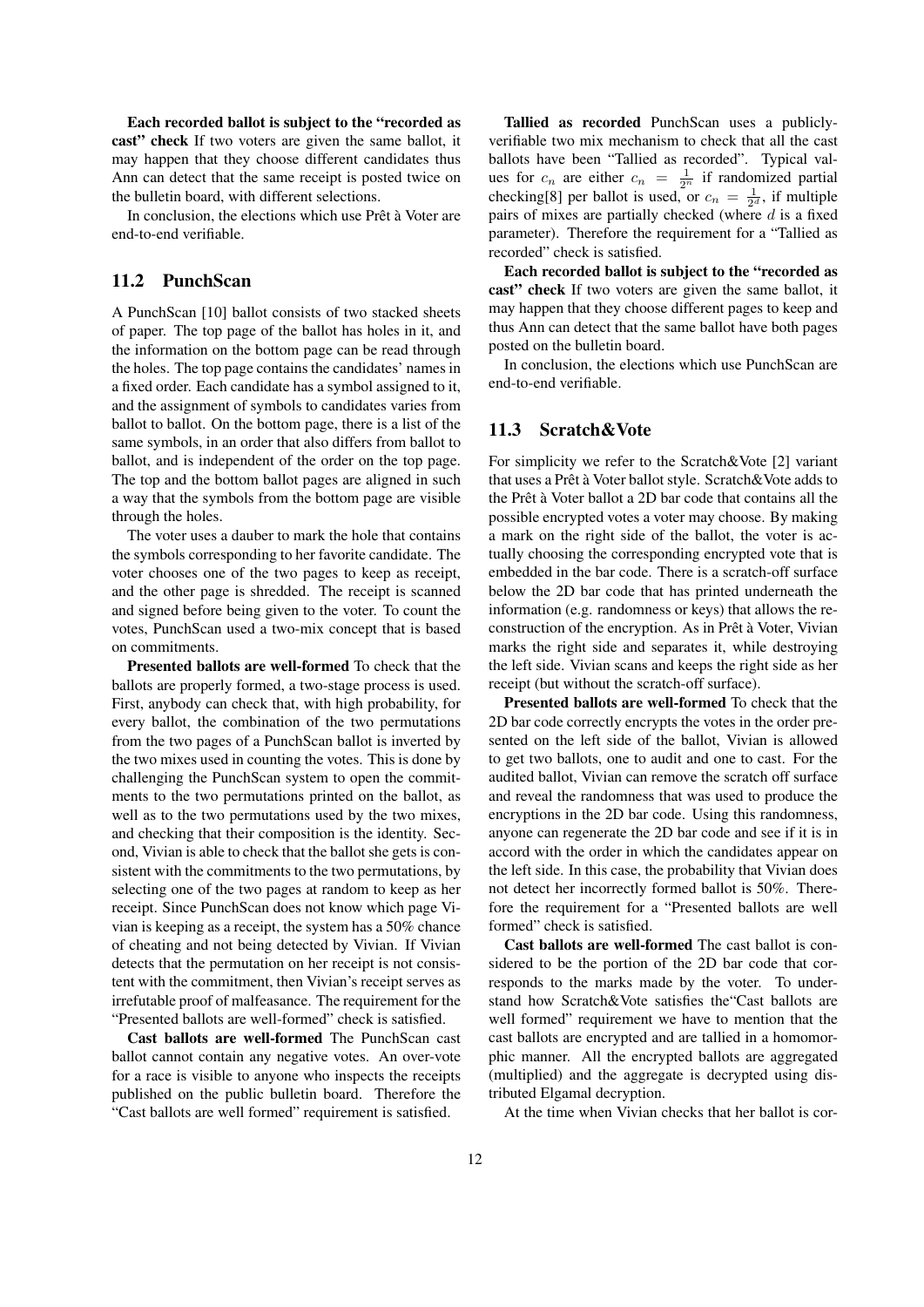Each recorded ballot is subject to the "recorded as cast" check If two voters are given the same ballot, it may happen that they choose different candidates thus Ann can detect that the same receipt is posted twice on the bulletin board, with different selections.

In conclusion, the elections which use Prêt à Voter are end-to-end verifiable.

## 11.2 PunchScan

A PunchScan [10] ballot consists of two stacked sheets of paper. The top page of the ballot has holes in it, and the information on the bottom page can be read through the holes. The top page contains the candidates' names in a fixed order. Each candidate has a symbol assigned to it, and the assignment of symbols to candidates varies from ballot to ballot. On the bottom page, there is a list of the same symbols, in an order that also differs from ballot to ballot, and is independent of the order on the top page. The top and the bottom ballot pages are aligned in such a way that the symbols from the bottom page are visible through the holes.

The voter uses a dauber to mark the hole that contains the symbols corresponding to her favorite candidate. The voter chooses one of the two pages to keep as receipt, and the other page is shredded. The receipt is scanned and signed before being given to the voter. To count the votes, PunchScan used a two-mix concept that is based on commitments.

Presented ballots are well-formed To check that the ballots are properly formed, a two-stage process is used. First, anybody can check that, with high probability, for every ballot, the combination of the two permutations from the two pages of a PunchScan ballot is inverted by the two mixes used in counting the votes. This is done by challenging the PunchScan system to open the commitments to the two permutations printed on the ballot, as well as to the two permutations used by the two mixes, and checking that their composition is the identity. Second, Vivian is able to check that the ballot she gets is consistent with the commitments to the two permutations, by selecting one of the two pages at random to keep as her receipt. Since PunchScan does not know which page Vivian is keeping as a receipt, the system has a 50% chance of cheating and not being detected by Vivian. If Vivian detects that the permutation on her receipt is not consistent with the commitment, then Vivian's receipt serves as irrefutable proof of malfeasance. The requirement for the "Presented ballots are well-formed" check is satisfied.

Cast ballots are well-formed The PunchScan cast ballot cannot contain any negative votes. An over-vote for a race is visible to anyone who inspects the receipts published on the public bulletin board. Therefore the "Cast ballots are well formed" requirement is satisfied.

Tallied as recorded PunchScan uses a publiclyverifiable two mix mechanism to check that all the cast ballots have been "Tallied as recorded". Typical values for  $c_n$  are either  $c_n = \frac{1}{2^n}$  if randomized partial checking[8] per ballot is used, or  $c_n = \frac{1}{2^d}$ , if multiple pairs of mixes are partially checked (where *d* is a fixed parameter). Therefore the requirement for a "Tallied as recorded" check is satisfied.

Each recorded ballot is subject to the "recorded as cast" check If two voters are given the same ballot, it may happen that they choose different pages to keep and thus Ann can detect that the same ballot have both pages posted on the bulletin board.

In conclusion, the elections which use PunchScan are end-to-end verifiable.

## 11.3 Scratch&Vote

For simplicity we refer to the Scratch&Vote [2] variant that uses a Prêt à Voter ballot style. Scratch&Vote adds to the Prêt à Voter ballot a 2D bar code that contains all the possible encrypted votes a voter may choose. By making a mark on the right side of the ballot, the voter is actually choosing the corresponding encrypted vote that is embedded in the bar code. There is a scratch-off surface below the 2D bar code that has printed underneath the information (e.g. randomness or keys) that allows the reconstruction of the encryption. As in Prêt à Voter, Vivian marks the right side and separates it, while destroying the left side. Vivian scans and keeps the right side as her receipt (but without the scratch-off surface).

Presented ballots are well-formed To check that the 2D bar code correctly encrypts the votes in the order presented on the left side of the ballot, Vivian is allowed to get two ballots, one to audit and one to cast. For the audited ballot, Vivian can remove the scratch off surface and reveal the randomness that was used to produce the encryptions in the 2D bar code. Using this randomness, anyone can regenerate the 2D bar code and see if it is in accord with the order in which the candidates appear on the left side. In this case, the probability that Vivian does not detect her incorrectly formed ballot is 50%. Therefore the requirement for a "Presented ballots are well formed" check is satisfied.

Cast ballots are well-formed The cast ballot is considered to be the portion of the 2D bar code that corresponds to the marks made by the voter. To understand how Scratch&Vote satisfies the"Cast ballots are well formed" requirement we have to mention that the cast ballots are encrypted and are tallied in a homomorphic manner. All the encrypted ballots are aggregated (multiplied) and the aggregate is decrypted using distributed Elgamal decryption.

At the time when Vivian checks that her ballot is cor-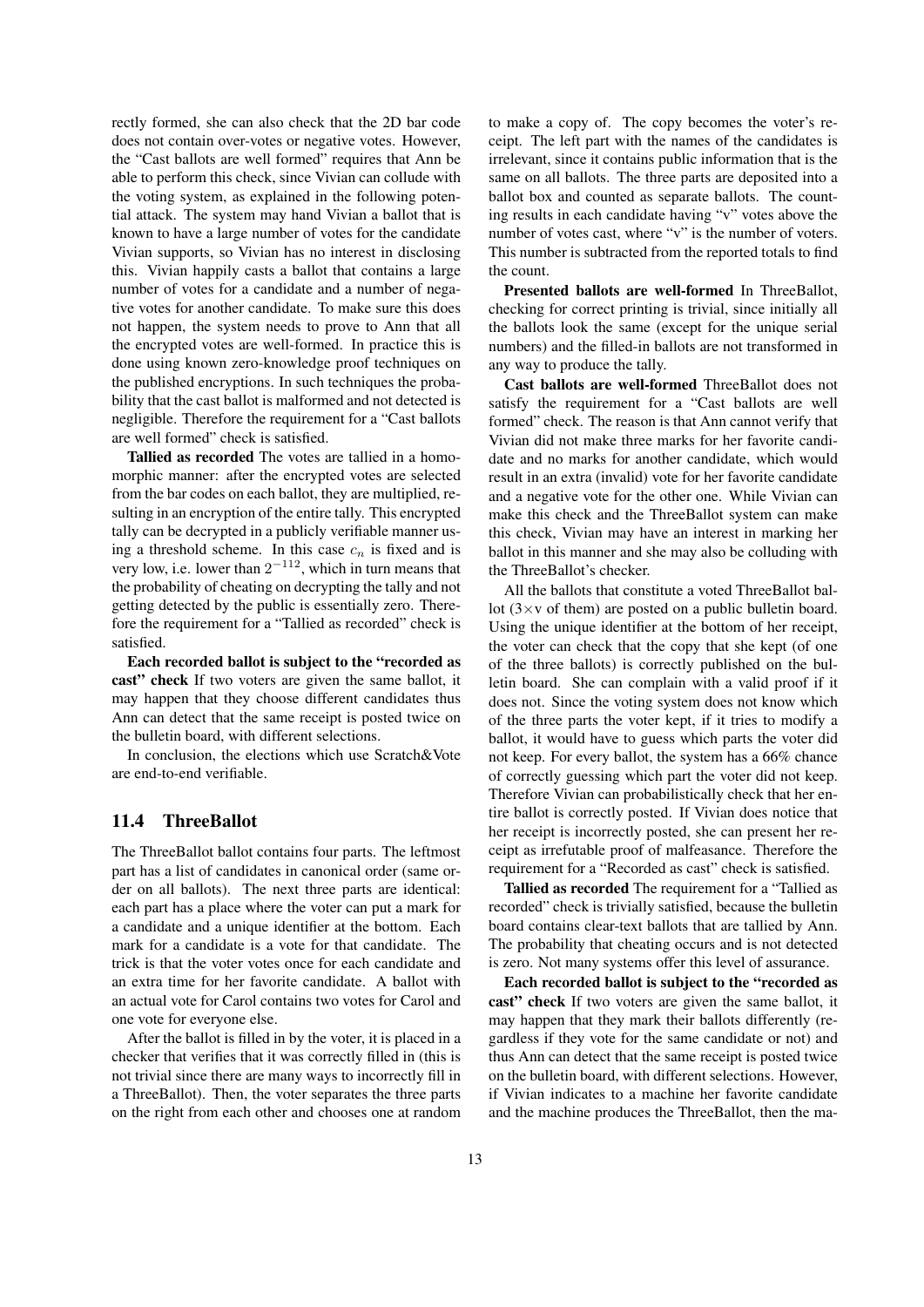rectly formed, she can also check that the 2D bar code does not contain over-votes or negative votes. However, the "Cast ballots are well formed" requires that Ann be able to perform this check, since Vivian can collude with the voting system, as explained in the following potential attack. The system may hand Vivian a ballot that is known to have a large number of votes for the candidate Vivian supports, so Vivian has no interest in disclosing this. Vivian happily casts a ballot that contains a large number of votes for a candidate and a number of negative votes for another candidate. To make sure this does not happen, the system needs to prove to Ann that all the encrypted votes are well-formed. In practice this is done using known zero-knowledge proof techniques on the published encryptions. In such techniques the probability that the cast ballot is malformed and not detected is negligible. Therefore the requirement for a "Cast ballots are well formed" check is satisfied.

Tallied as recorded The votes are tallied in a homomorphic manner: after the encrypted votes are selected from the bar codes on each ballot, they are multiplied, resulting in an encryption of the entire tally. This encrypted tally can be decrypted in a publicly verifiable manner using a threshold scheme. In this case  $c_n$  is fixed and is very low, i.e. lower than 2 *<sup>−</sup>*<sup>112</sup>, which in turn means that the probability of cheating on decrypting the tally and not getting detected by the public is essentially zero. Therefore the requirement for a "Tallied as recorded" check is satisfied.

Each recorded ballot is subject to the "recorded as cast" check If two voters are given the same ballot, it may happen that they choose different candidates thus Ann can detect that the same receipt is posted twice on the bulletin board, with different selections.

In conclusion, the elections which use Scratch&Vote are end-to-end verifiable.

### 11.4 ThreeBallot

The ThreeBallot ballot contains four parts. The leftmost part has a list of candidates in canonical order (same order on all ballots). The next three parts are identical: each part has a place where the voter can put a mark for a candidate and a unique identifier at the bottom. Each mark for a candidate is a vote for that candidate. The trick is that the voter votes once for each candidate and an extra time for her favorite candidate. A ballot with an actual vote for Carol contains two votes for Carol and one vote for everyone else.

After the ballot is filled in by the voter, it is placed in a checker that verifies that it was correctly filled in (this is not trivial since there are many ways to incorrectly fill in a ThreeBallot). Then, the voter separates the three parts on the right from each other and chooses one at random

to make a copy of. The copy becomes the voter's receipt. The left part with the names of the candidates is irrelevant, since it contains public information that is the same on all ballots. The three parts are deposited into a ballot box and counted as separate ballots. The counting results in each candidate having "v" votes above the number of votes cast, where "v" is the number of voters. This number is subtracted from the reported totals to find the count.

Presented ballots are well-formed In ThreeBallot, checking for correct printing is trivial, since initially all the ballots look the same (except for the unique serial numbers) and the filled-in ballots are not transformed in any way to produce the tally.

Cast ballots are well-formed ThreeBallot does not satisfy the requirement for a "Cast ballots are well formed" check. The reason is that Ann cannot verify that Vivian did not make three marks for her favorite candidate and no marks for another candidate, which would result in an extra (invalid) vote for her favorite candidate and a negative vote for the other one. While Vivian can make this check and the ThreeBallot system can make this check, Vivian may have an interest in marking her ballot in this manner and she may also be colluding with the ThreeBallot's checker.

All the ballots that constitute a voted ThreeBallot ballot (3*×*v of them) are posted on a public bulletin board. Using the unique identifier at the bottom of her receipt, the voter can check that the copy that she kept (of one of the three ballots) is correctly published on the bulletin board. She can complain with a valid proof if it does not. Since the voting system does not know which of the three parts the voter kept, if it tries to modify a ballot, it would have to guess which parts the voter did not keep. For every ballot, the system has a 66% chance of correctly guessing which part the voter did not keep. Therefore Vivian can probabilistically check that her entire ballot is correctly posted. If Vivian does notice that her receipt is incorrectly posted, she can present her receipt as irrefutable proof of malfeasance. Therefore the requirement for a "Recorded as cast" check is satisfied.

Tallied as recorded The requirement for a "Tallied as recorded" check is trivially satisfied, because the bulletin board contains clear-text ballots that are tallied by Ann. The probability that cheating occurs and is not detected is zero. Not many systems offer this level of assurance.

Each recorded ballot is subject to the "recorded as cast" check If two voters are given the same ballot, it may happen that they mark their ballots differently (regardless if they vote for the same candidate or not) and thus Ann can detect that the same receipt is posted twice on the bulletin board, with different selections. However, if Vivian indicates to a machine her favorite candidate and the machine produces the ThreeBallot, then the ma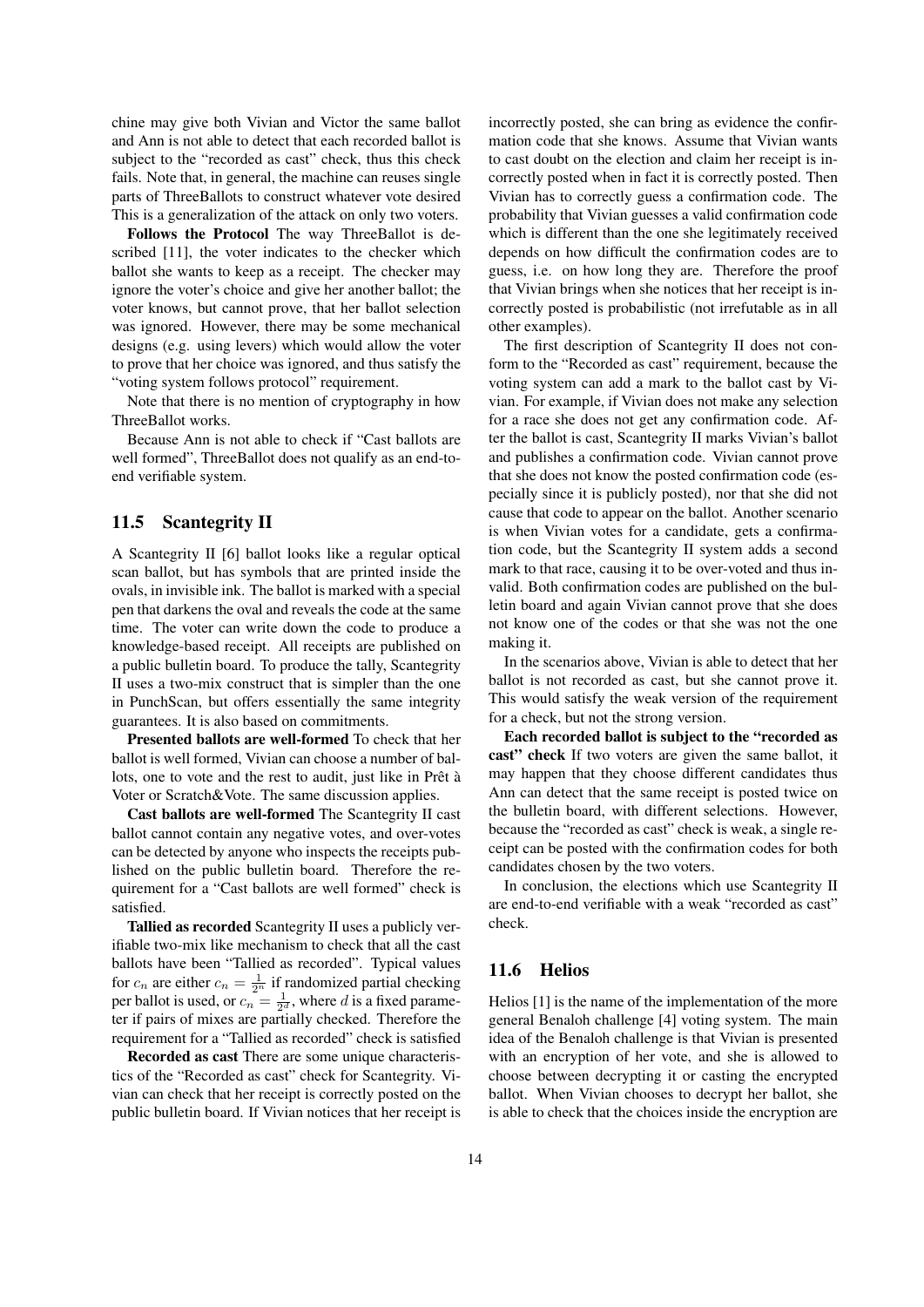chine may give both Vivian and Victor the same ballot and Ann is not able to detect that each recorded ballot is subject to the "recorded as cast" check, thus this check fails. Note that, in general, the machine can reuses single parts of ThreeBallots to construct whatever vote desired This is a generalization of the attack on only two voters.

Follows the Protocol The way ThreeBallot is described [11], the voter indicates to the checker which ballot she wants to keep as a receipt. The checker may ignore the voter's choice and give her another ballot; the voter knows, but cannot prove, that her ballot selection was ignored. However, there may be some mechanical designs (e.g. using levers) which would allow the voter to prove that her choice was ignored, and thus satisfy the "voting system follows protocol" requirement.

Note that there is no mention of cryptography in how ThreeBallot works.

Because Ann is not able to check if "Cast ballots are well formed", ThreeBallot does not qualify as an end-toend verifiable system.

## 11.5 Scantegrity II

A Scantegrity II [6] ballot looks like a regular optical scan ballot, but has symbols that are printed inside the ovals, in invisible ink. The ballot is marked with a special pen that darkens the oval and reveals the code at the same time. The voter can write down the code to produce a knowledge-based receipt. All receipts are published on a public bulletin board. To produce the tally, Scantegrity II uses a two-mix construct that is simpler than the one in PunchScan, but offers essentially the same integrity guarantees. It is also based on commitments.

Presented ballots are well-formed To check that her ballot is well formed, Vivian can choose a number of ballots, one to vote and the rest to audit, just like in Prêt à Voter or Scratch&Vote. The same discussion applies.

Cast ballots are well-formed The Scantegrity II cast ballot cannot contain any negative votes, and over-votes can be detected by anyone who inspects the receipts published on the public bulletin board. Therefore the requirement for a "Cast ballots are well formed" check is satisfied.

Tallied as recorded Scantegrity II uses a publicly verifiable two-mix like mechanism to check that all the cast ballots have been "Tallied as recorded". Typical values for  $c_n$  are either  $c_n = \frac{1}{2^n}$  if randomized partial checking per ballot is used, or  $c_n = \frac{1}{2^d}$ , where *d* is a fixed parameter if pairs of mixes are partially checked. Therefore the requirement for a "Tallied as recorded" check is satisfied

Recorded as cast There are some unique characteristics of the "Recorded as cast" check for Scantegrity. Vivian can check that her receipt is correctly posted on the public bulletin board. If Vivian notices that her receipt is

incorrectly posted, she can bring as evidence the confirmation code that she knows. Assume that Vivian wants to cast doubt on the election and claim her receipt is incorrectly posted when in fact it is correctly posted. Then Vivian has to correctly guess a confirmation code. The probability that Vivian guesses a valid confirmation code which is different than the one she legitimately received depends on how difficult the confirmation codes are to guess, i.e. on how long they are. Therefore the proof that Vivian brings when she notices that her receipt is incorrectly posted is probabilistic (not irrefutable as in all other examples).

The first description of Scantegrity II does not conform to the "Recorded as cast" requirement, because the voting system can add a mark to the ballot cast by Vivian. For example, if Vivian does not make any selection for a race she does not get any confirmation code. After the ballot is cast, Scantegrity II marks Vivian's ballot and publishes a confirmation code. Vivian cannot prove that she does not know the posted confirmation code (especially since it is publicly posted), nor that she did not cause that code to appear on the ballot. Another scenario is when Vivian votes for a candidate, gets a confirmation code, but the Scantegrity II system adds a second mark to that race, causing it to be over-voted and thus invalid. Both confirmation codes are published on the bulletin board and again Vivian cannot prove that she does not know one of the codes or that she was not the one making it.

In the scenarios above, Vivian is able to detect that her ballot is not recorded as cast, but she cannot prove it. This would satisfy the weak version of the requirement for a check, but not the strong version.

Each recorded ballot is subject to the "recorded as cast" check If two voters are given the same ballot, it may happen that they choose different candidates thus Ann can detect that the same receipt is posted twice on the bulletin board, with different selections. However, because the "recorded as cast" check is weak, a single receipt can be posted with the confirmation codes for both candidates chosen by the two voters.

In conclusion, the elections which use Scantegrity II are end-to-end verifiable with a weak "recorded as cast" check.

## 11.6 Helios

Helios [1] is the name of the implementation of the more general Benaloh challenge [4] voting system. The main idea of the Benaloh challenge is that Vivian is presented with an encryption of her vote, and she is allowed to choose between decrypting it or casting the encrypted ballot. When Vivian chooses to decrypt her ballot, she is able to check that the choices inside the encryption are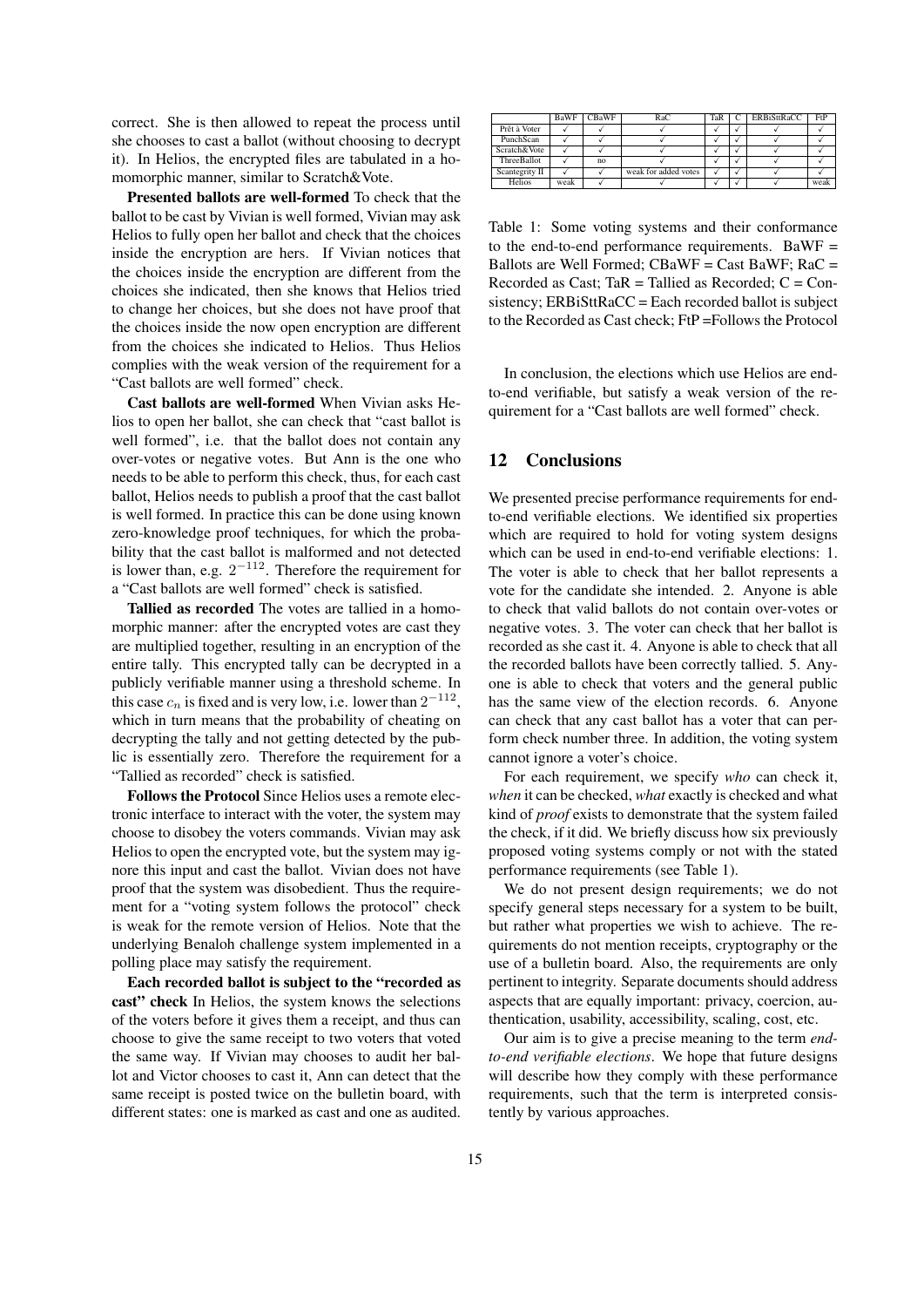correct. She is then allowed to repeat the process until she chooses to cast a ballot (without choosing to decrypt it). In Helios, the encrypted files are tabulated in a homomorphic manner, similar to Scratch&Vote.

Presented ballots are well-formed To check that the ballot to be cast by Vivian is well formed, Vivian may ask Helios to fully open her ballot and check that the choices inside the encryption are hers. If Vivian notices that the choices inside the encryption are different from the choices she indicated, then she knows that Helios tried to change her choices, but she does not have proof that the choices inside the now open encryption are different from the choices she indicated to Helios. Thus Helios complies with the weak version of the requirement for a "Cast ballots are well formed" check.

Cast ballots are well-formed When Vivian asks Helios to open her ballot, she can check that "cast ballot is well formed", i.e. that the ballot does not contain any over-votes or negative votes. But Ann is the one who needs to be able to perform this check, thus, for each cast ballot, Helios needs to publish a proof that the cast ballot is well formed. In practice this can be done using known zero-knowledge proof techniques, for which the probability that the cast ballot is malformed and not detected is lower than, e.g. 2 *<sup>−</sup>*<sup>112</sup>. Therefore the requirement for a "Cast ballots are well formed" check is satisfied.

Tallied as recorded The votes are tallied in a homomorphic manner: after the encrypted votes are cast they are multiplied together, resulting in an encryption of the entire tally. This encrypted tally can be decrypted in a publicly verifiable manner using a threshold scheme. In this case  $c_n$  is fixed and is very low, i.e. lower than  $2^{-112}$ , which in turn means that the probability of cheating on decrypting the tally and not getting detected by the public is essentially zero. Therefore the requirement for a "Tallied as recorded" check is satisfied.

Follows the Protocol Since Helios uses a remote electronic interface to interact with the voter, the system may choose to disobey the voters commands. Vivian may ask Helios to open the encrypted vote, but the system may ignore this input and cast the ballot. Vivian does not have proof that the system was disobedient. Thus the requirement for a "voting system follows the protocol" check is weak for the remote version of Helios. Note that the underlying Benaloh challenge system implemented in a polling place may satisfy the requirement.

Each recorded ballot is subject to the "recorded as cast" check In Helios, the system knows the selections of the voters before it gives them a receipt, and thus can choose to give the same receipt to two voters that voted the same way. If Vivian may chooses to audit her ballot and Victor chooses to cast it, Ann can detect that the same receipt is posted twice on the bulletin board, with different states: one is marked as cast and one as audited.

|                | BaWF | <b>CBaWF</b> | RaC                  | TaR | <b>ERBiSttRaCC</b> | FtP  |
|----------------|------|--------------|----------------------|-----|--------------------|------|
| Prêt à Voter   |      |              |                      |     |                    |      |
| PunchScan      |      |              |                      |     |                    |      |
| Scratch&Vote   |      |              |                      |     |                    |      |
| ThreeBallot    |      | no           |                      |     |                    |      |
| Scantegrity II |      |              | weak for added votes |     |                    |      |
| Helios         | weak |              |                      |     |                    | weak |

Table 1: Some voting systems and their conformance to the end-to-end performance requirements. BaWF = Ballots are Well Formed;  $CBaWF = Cast BaWF$ ;  $RaC =$ Recorded as Cast; Ta $R =$  Tallied as Recorded;  $C =$  Consistency; ERBiSttRaCC = Each recorded ballot is subject to the Recorded as Cast check; FtP =Follows the Protocol

In conclusion, the elections which use Helios are endto-end verifiable, but satisfy a weak version of the requirement for a "Cast ballots are well formed" check.

### 12 Conclusions

We presented precise performance requirements for endto-end verifiable elections. We identified six properties which are required to hold for voting system designs which can be used in end-to-end verifiable elections: 1. The voter is able to check that her ballot represents a vote for the candidate she intended. 2. Anyone is able to check that valid ballots do not contain over-votes or negative votes. 3. The voter can check that her ballot is recorded as she cast it. 4. Anyone is able to check that all the recorded ballots have been correctly tallied. 5. Anyone is able to check that voters and the general public has the same view of the election records. 6. Anyone can check that any cast ballot has a voter that can perform check number three. In addition, the voting system cannot ignore a voter's choice.

For each requirement, we specify *who* can check it, *when* it can be checked, *what* exactly is checked and what kind of *proof* exists to demonstrate that the system failed the check, if it did. We briefly discuss how six previously proposed voting systems comply or not with the stated performance requirements (see Table 1).

We do not present design requirements; we do not specify general steps necessary for a system to be built, but rather what properties we wish to achieve. The requirements do not mention receipts, cryptography or the use of a bulletin board. Also, the requirements are only pertinent to integrity. Separate documents should address aspects that are equally important: privacy, coercion, authentication, usability, accessibility, scaling, cost, etc.

Our aim is to give a precise meaning to the term *endto-end verifiable elections*. We hope that future designs will describe how they comply with these performance requirements, such that the term is interpreted consistently by various approaches.